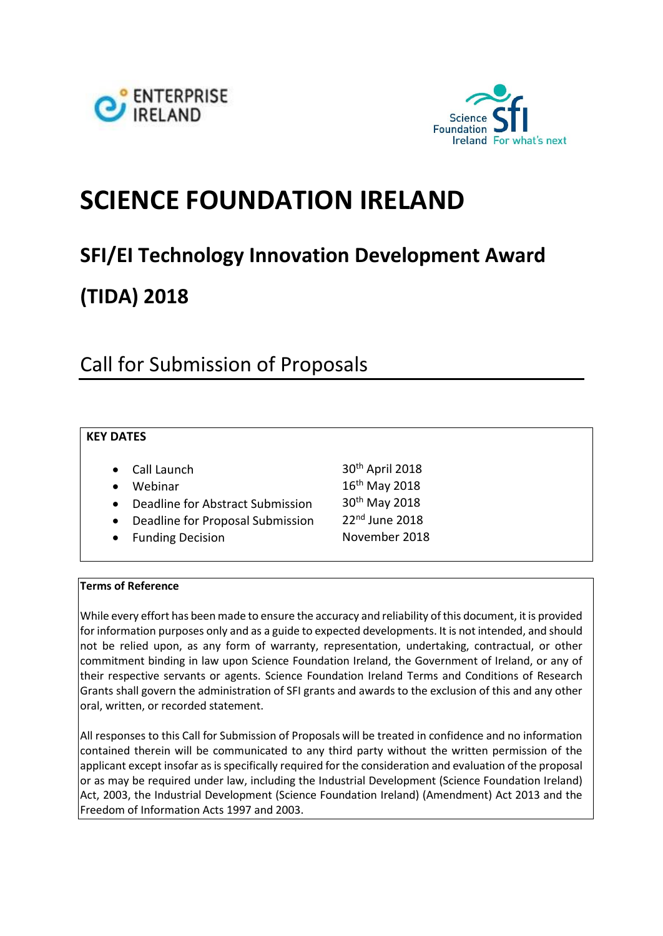



# **SCIENCE FOUNDATION IRELAND**

# **SFI/EI Technology Innovation Development Award**

# **(TIDA) 2018**

# Call for Submission of Proposals

# **KEY DATES**

|           | • Call Launch                    | 30 <sup>th</sup> April 2018 |
|-----------|----------------------------------|-----------------------------|
|           | • Webinar                        | 16th May 2018               |
| $\bullet$ | Deadline for Abstract Submission | 30 <sup>th</sup> May 2018   |
| $\bullet$ | Deadline for Proposal Submission | 22nd June 2018              |
|           | • Funding Decision               | November 2018               |

#### **Terms of Reference**

While every effort has been made to ensure the accuracy and reliability of this document, it is provided for information purposes only and as a guide to expected developments. It is not intended, and should not be relied upon, as any form of warranty, representation, undertaking, contractual, or other commitment binding in law upon Science Foundation Ireland, the Government of Ireland, or any of their respective servants or agents. Science Foundation Ireland Terms and Conditions of Research Grants shall govern the administration of SFI grants and awards to the exclusion of this and any other oral, written, or recorded statement.

All responses to this Call for Submission of Proposals will be treated in confidence and no information contained therein will be communicated to any third party without the written permission of the applicant except insofar as is specifically required for the consideration and evaluation of the proposal or as may be required under law, including the Industrial Development (Science Foundation Ireland) Act, 2003, the Industrial Development (Science Foundation Ireland) (Amendment) Act 2013 and the Freedom of Information Acts 1997 and 2003.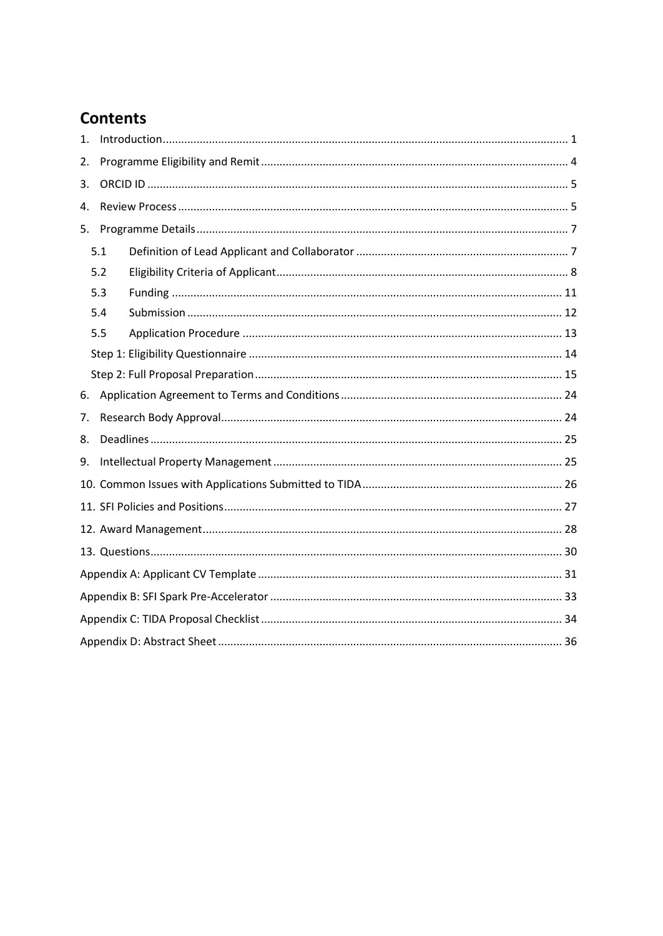# **Contents**

| 1.  |     |  |  |  |  |  |  |
|-----|-----|--|--|--|--|--|--|
| 2.  |     |  |  |  |  |  |  |
| 3.  |     |  |  |  |  |  |  |
| 4.  |     |  |  |  |  |  |  |
| 5.  |     |  |  |  |  |  |  |
| 5.1 |     |  |  |  |  |  |  |
|     | 5.2 |  |  |  |  |  |  |
|     | 5.3 |  |  |  |  |  |  |
|     | 5.4 |  |  |  |  |  |  |
|     | 5.5 |  |  |  |  |  |  |
|     |     |  |  |  |  |  |  |
|     |     |  |  |  |  |  |  |
| 6.  |     |  |  |  |  |  |  |
| 7.  |     |  |  |  |  |  |  |
| 8.  |     |  |  |  |  |  |  |
| 9.  |     |  |  |  |  |  |  |
|     |     |  |  |  |  |  |  |
|     |     |  |  |  |  |  |  |
|     |     |  |  |  |  |  |  |
|     |     |  |  |  |  |  |  |
|     |     |  |  |  |  |  |  |
|     |     |  |  |  |  |  |  |
|     |     |  |  |  |  |  |  |
|     |     |  |  |  |  |  |  |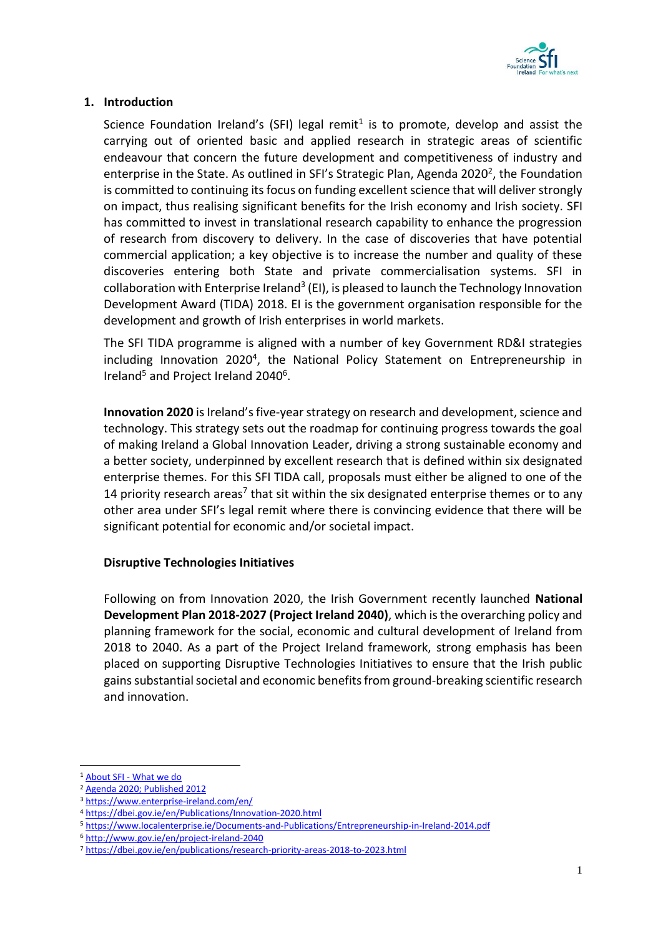

# <span id="page-2-0"></span>**1. Introduction**

Science Foundation Ireland's (SFI) legal remit<sup>1</sup> is to promote, develop and assist the carrying out of oriented basic and applied research in strategic areas of scientific endeavour that concern the future development and competitiveness of industry and enterprise in the State. As outlined in SFI's Strategic Plan, Agenda 2020<sup>2</sup>, the Foundation is committed to continuing its focus on funding excellent science that will deliver strongly on impact, thus realising significant benefits for the Irish economy and Irish society. SFI has committed to invest in translational research capability to enhance the progression of research from discovery to delivery. In the case of discoveries that have potential commercial application; a key objective is to increase the number and quality of these discoveries entering both State and private commercialisation systems. SFI in collaboration with Enterprise Ireland<sup>3</sup> (EI), is pleased to launch the Technology Innovation Development Award (TIDA) 2018. EI is the government organisation responsible for the development and growth of Irish enterprises in world markets.

The SFI TIDA programme is aligned with a number of key Government RD&I strategies including Innovation 2020<sup>4</sup>, the National Policy Statement on Entrepreneurship in Ireland<sup>5</sup> and Project Ireland 2040<sup>6</sup>.

**Innovation 2020** is Ireland's five-year strategy on research and development, science and technology. This strategy sets out the roadmap for continuing progress towards the goal of making Ireland a Global Innovation Leader, driving a strong sustainable economy and a better society, underpinned by excellent research that is defined within six designated enterprise themes. For this SFI TIDA call, proposals must either be aligned to one of the 14 priority research areas<sup>7</sup> that sit within the six designated enterprise themes or to any other area under SFI's legal remit where there is convincing evidence that there will be significant potential for economic and/or societal impact.

#### **Disruptive Technologies Initiatives**

Following on from Innovation 2020, the Irish Government recently launched **National Development Plan 2018-2027 (Project Ireland 2040)**, which is the overarching policy and planning framework for the social, economic and cultural development of Ireland from 2018 to 2040. As a part of the Project Ireland framework, strong emphasis has been placed on supporting Disruptive Technologies Initiatives to ensure that the Irish public gains substantial societal and economic benefits from ground-breaking scientific research and innovation.

1

<sup>1</sup> About SFI - [What we do](http://www.sfi.ie/about-us/about-sfi/what-we-do/)

<sup>2</sup> [Agenda 2020; Published 2012](http://www.sfi.ie/resources/Agenga-2020.pdf)

<sup>3</sup> <https://www.enterprise-ireland.com/en/>

<sup>4</sup> <https://dbei.gov.ie/en/Publications/Innovation-2020.html>

<sup>5</sup> <https://www.localenterprise.ie/Documents-and-Publications/Entrepreneurship-in-Ireland-2014.pdf>

<sup>6</sup> <http://www.gov.ie/en/project-ireland-2040>

<sup>7</sup> <https://dbei.gov.ie/en/publications/research-priority-areas-2018-to-2023.html>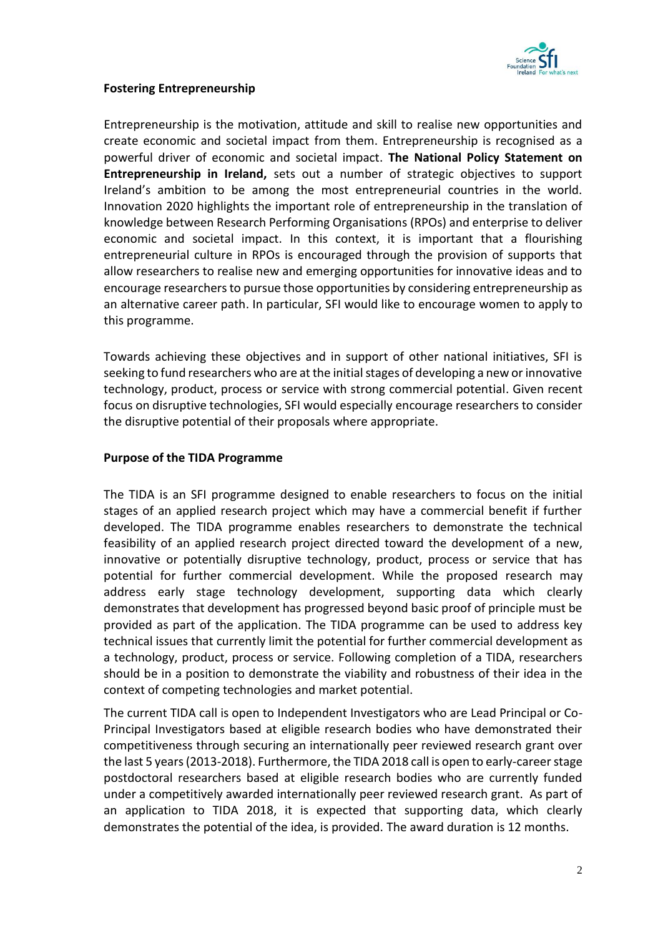

#### **Fostering Entrepreneurship**

Entrepreneurship is the motivation, attitude and skill to realise new opportunities and create economic and societal impact from them. Entrepreneurship is recognised as a powerful driver of economic and societal impact. **The National Policy Statement on Entrepreneurship in Ireland,** sets out a number of strategic objectives to support Ireland's ambition to be among the most entrepreneurial countries in the world. Innovation 2020 highlights the important role of entrepreneurship in the translation of knowledge between Research Performing Organisations (RPOs) and enterprise to deliver economic and societal impact. In this context, it is important that a flourishing entrepreneurial culture in RPOs is encouraged through the provision of supports that allow researchers to realise new and emerging opportunities for innovative ideas and to encourage researchers to pursue those opportunities by considering entrepreneurship as an alternative career path. In particular, SFI would like to encourage women to apply to this programme.

Towards achieving these objectives and in support of other national initiatives, SFI is seeking to fund researchers who are at the initial stages of developing a new or innovative technology, product, process or service with strong commercial potential. Given recent focus on disruptive technologies, SFI would especially encourage researchers to consider the disruptive potential of their proposals where appropriate.

#### **Purpose of the TIDA Programme**

The TIDA is an SFI programme designed to enable researchers to focus on the initial stages of an applied research project which may have a commercial benefit if further developed. The TIDA programme enables researchers to demonstrate the technical feasibility of an applied research project directed toward the development of a new, innovative or potentially disruptive technology, product, process or service that has potential for further commercial development. While the proposed research may address early stage technology development, supporting data which clearly demonstrates that development has progressed beyond basic proof of principle must be provided as part of the application. The TIDA programme can be used to address key technical issues that currently limit the potential for further commercial development as a technology, product, process or service. Following completion of a TIDA, researchers should be in a position to demonstrate the viability and robustness of their idea in the context of competing technologies and market potential.

The current TIDA call is open to Independent Investigators who are Lead Principal or Co-Principal Investigators based at eligible research bodies who have demonstrated their competitiveness through securing an internationally peer reviewed research grant over the last 5 years (2013-2018). Furthermore, the TIDA 2018 call is open to early-career stage postdoctoral researchers based at eligible research bodies who are currently funded under a competitively awarded internationally peer reviewed research grant. As part of an application to TIDA 2018, it is expected that supporting data, which clearly demonstrates the potential of the idea, is provided. The award duration is 12 months.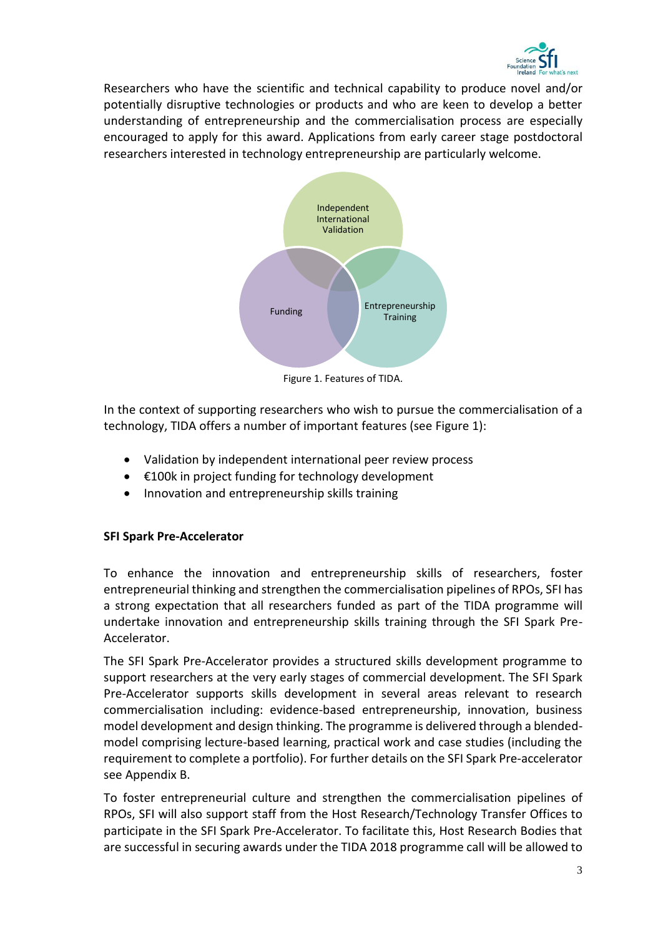

Researchers who have the scientific and technical capability to produce novel and/or potentially disruptive technologies or products and who are keen to develop a better understanding of entrepreneurship and the commercialisation process are especially encouraged to apply for this award. Applications from early career stage postdoctoral researchers interested in technology entrepreneurship are particularly welcome.



Figure 1. Features of TIDA.

In the context of supporting researchers who wish to pursue the commercialisation of a technology, TIDA offers a number of important features (see Figure 1):

- Validation by independent international peer review process
- €100k in project funding for technology development
- Innovation and entrepreneurship skills training

# **SFI Spark Pre-Accelerator**

To enhance the innovation and entrepreneurship skills of researchers, foster entrepreneurial thinking and strengthen the commercialisation pipelines of RPOs, SFI has a strong expectation that all researchers funded as part of the TIDA programme will undertake innovation and entrepreneurship skills training through the SFI Spark Pre-Accelerator.

The SFI Spark Pre-Accelerator provides a structured skills development programme to support researchers at the very early stages of commercial development. The SFI Spark Pre-Accelerator supports skills development in several areas relevant to research commercialisation including: evidence-based entrepreneurship, innovation, business model development and design thinking. The programme is delivered through a blendedmodel comprising lecture-based learning, practical work and case studies (including the requirement to complete a portfolio). For further details on the SFI Spark Pre-accelerator see Appendix B.

To foster entrepreneurial culture and strengthen the commercialisation pipelines of RPOs, SFI will also support staff from the Host Research/Technology Transfer Offices to participate in the SFI Spark Pre-Accelerator. To facilitate this, Host Research Bodies that are successful in securing awards under the TIDA 2018 programme call will be allowed to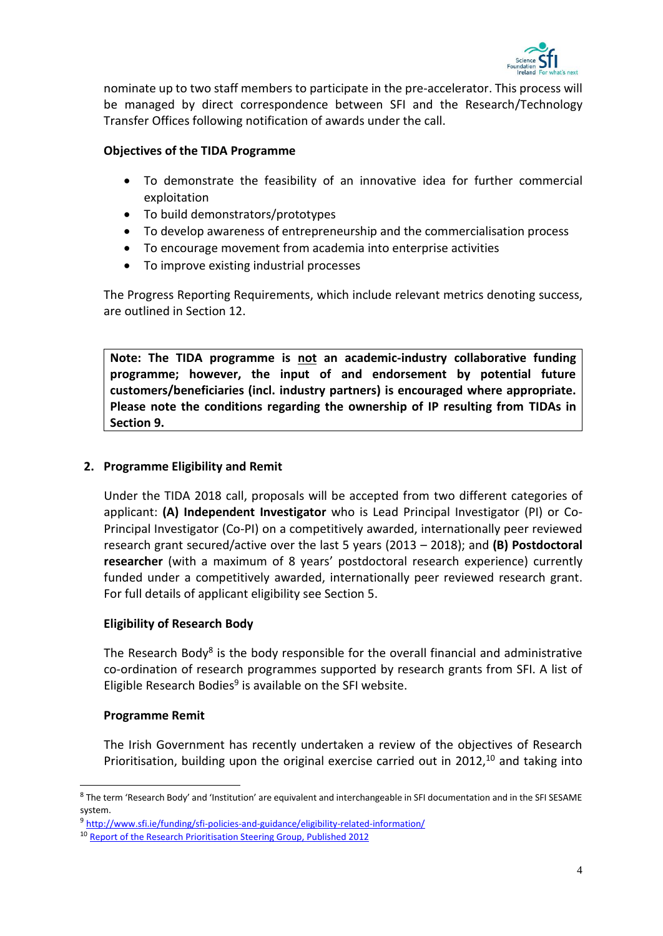

nominate up to two staff members to participate in the pre-accelerator. This process will be managed by direct correspondence between SFI and the Research/Technology Transfer Offices following notification of awards under the call.

# **Objectives of the TIDA Programme**

- To demonstrate the feasibility of an innovative idea for further commercial exploitation
- To build demonstrators/prototypes
- To develop awareness of entrepreneurship and the commercialisation process
- To encourage movement from academia into enterprise activities
- To improve existing industrial processes

The Progress Reporting Requirements, which include relevant metrics denoting success, are outlined in Section 12.

**Note: The TIDA programme is not an academic-industry collaborative funding programme; however, the input of and endorsement by potential future customers/beneficiaries (incl. industry partners) is encouraged where appropriate. Please note the conditions regarding the ownership of IP resulting from TIDAs in Section 9.**

# <span id="page-5-0"></span>**2. Programme Eligibility and Remit**

Under the TIDA 2018 call, proposals will be accepted from two different categories of applicant: **(A) Independent Investigator** who is Lead Principal Investigator (PI) or Co-Principal Investigator (Co-PI) on a competitively awarded, internationally peer reviewed research grant secured/active over the last 5 years (2013 – 2018); and **(B) Postdoctoral researcher** (with a maximum of 8 years' postdoctoral research experience) currently funded under a competitively awarded, internationally peer reviewed research grant. For full details of applicant eligibility see Section 5.

# **Eligibility of Research Body**

The Research Body<sup>8</sup> is the body responsible for the overall financial and administrative co-ordination of research programmes supported by research grants from SFI. A list of Eligible Research Bodies<sup>9</sup> is available on the SFI website.

#### **Programme Remit**

-

The Irish Government has recently undertaken a review of the objectives of Research Prioritisation, building upon the original exercise carried out in 2012,<sup>10</sup> and taking into

<sup>&</sup>lt;sup>8</sup> The term 'Research Body' and 'Institution' are equivalent and interchangeable in SFI documentation and in the SFI SESAME system.

<sup>9</sup> <http://www.sfi.ie/funding/sfi-policies-and-guidance/eligibility-related-information/>

<sup>10</sup> [Report of the Research Prioritisation Steering Group, Published 2012](https://www.djei.ie/en/Publications/Publication-files/Research-Prioritisation.pdf)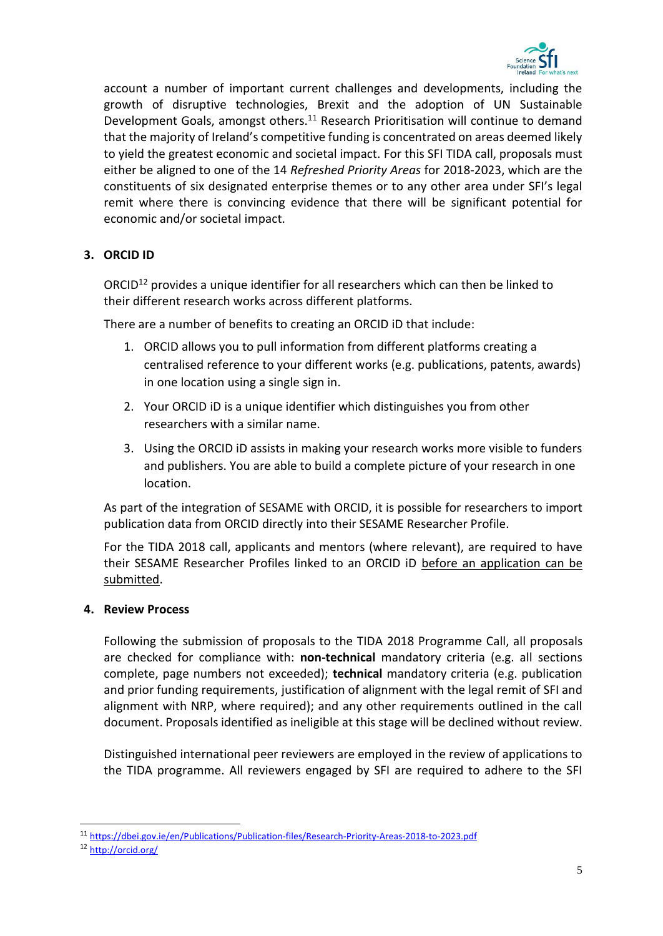

account a number of important current challenges and developments, including the growth of disruptive technologies, Brexit and the adoption of UN Sustainable Development Goals, amongst others.<sup>11</sup> Research Prioritisation will continue to demand that the majority of Ireland's competitive funding is concentrated on areas deemed likely to yield the greatest economic and societal impact. For this SFI TIDA call, proposals must either be aligned to one of the 14 *Refreshed Priority Areas* for 2018-2023, which are the constituents of six designated enterprise themes or to any other area under SFI's legal remit where there is convincing evidence that there will be significant potential for economic and/or societal impact.

# <span id="page-6-0"></span>**3. ORCID ID**

ORCID<sup>12</sup> provides a unique identifier for all researchers which can then be linked to their different research works across different platforms.

There are a number of benefits to creating an ORCID iD that include:

- 1. ORCID allows you to pull information from different platforms creating a centralised reference to your different works (e.g. publications, patents, awards) in one location using a single sign in.
- 2. Your ORCID iD is a unique identifier which distinguishes you from other researchers with a similar name.
- 3. Using the ORCID iD assists in making your research works more visible to funders and publishers. You are able to build a complete picture of your research in one location.

As part of the integration of SESAME with ORCID, it is possible for researchers to import publication data from ORCID directly into their SESAME Researcher Profile.

For the TIDA 2018 call, applicants and mentors (where relevant), are required to have their SESAME Researcher Profiles linked to an ORCID iD before an application can be submitted.

#### <span id="page-6-1"></span>**4. Review Process**

Following the submission of proposals to the TIDA 2018 Programme Call, all proposals are checked for compliance with: **non-technical** mandatory criteria (e.g. all sections complete, page numbers not exceeded); **technical** mandatory criteria (e.g. publication and prior funding requirements, justification of alignment with the legal remit of SFI and alignment with NRP, where required); and any other requirements outlined in the call document. Proposals identified as ineligible at this stage will be declined without review.

Distinguished international peer reviewers are employed in the review of applications to the TIDA programme. All reviewers engaged by SFI are required to adhere to the SFI

1

<sup>11</sup> <https://dbei.gov.ie/en/Publications/Publication-files/Research-Priority-Areas-2018-to-2023.pdf>

<sup>12</sup> <http://orcid.org/>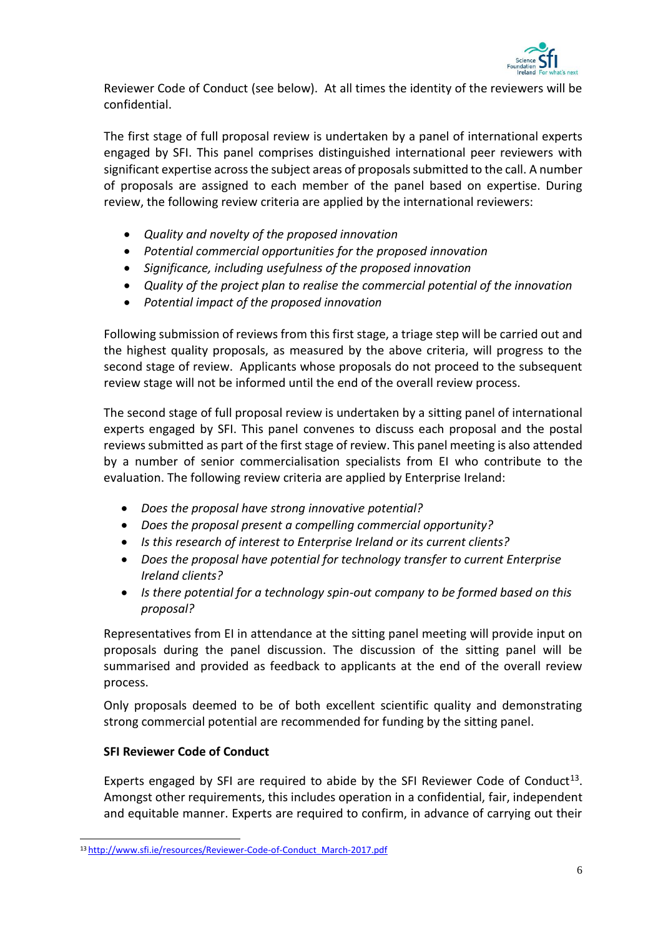

Reviewer Code of Conduct (see below). At all times the identity of the reviewers will be confidential.

The first stage of full proposal review is undertaken by a panel of international experts engaged by SFI. This panel comprises distinguished international peer reviewers with significant expertise across the subject areas of proposals submitted to the call. A number of proposals are assigned to each member of the panel based on expertise. During review, the following review criteria are applied by the international reviewers:

- *Quality and novelty of the proposed innovation*
- *Potential commercial opportunities for the proposed innovation*
- *Significance, including usefulness of the proposed innovation*
- *Quality of the project plan to realise the commercial potential of the innovation*
- *Potential impact of the proposed innovation*

Following submission of reviews from this first stage, a triage step will be carried out and the highest quality proposals, as measured by the above criteria, will progress to the second stage of review. Applicants whose proposals do not proceed to the subsequent review stage will not be informed until the end of the overall review process.

The second stage of full proposal review is undertaken by a sitting panel of international experts engaged by SFI. This panel convenes to discuss each proposal and the postal reviews submitted as part of the first stage of review. This panel meeting is also attended by a number of senior commercialisation specialists from EI who contribute to the evaluation. The following review criteria are applied by Enterprise Ireland:

- *Does the proposal have strong innovative potential?*
- *Does the proposal present a compelling commercial opportunity?*
- *Is this research of interest to Enterprise Ireland or its current clients?*
- *Does the proposal have potential for technology transfer to current Enterprise Ireland clients?*
- *Is there potential for a technology spin-out company to be formed based on this proposal?*

Representatives from EI in attendance at the sitting panel meeting will provide input on proposals during the panel discussion. The discussion of the sitting panel will be summarised and provided as feedback to applicants at the end of the overall review process.

Only proposals deemed to be of both excellent scientific quality and demonstrating strong commercial potential are recommended for funding by the sitting panel.

# **SFI Reviewer Code of Conduct**

1

Experts engaged by SFI are required to abide by the SFI Reviewer Code of Conduct<sup>13</sup>. Amongst other requirements, this includes operation in a confidential, fair, independent and equitable manner. Experts are required to confirm, in advance of carrying out their

<sup>13</sup> [http://www.sfi.ie/resources/Reviewer-Code-of-Conduct\\_March-2017.pdf](http://www.sfi.ie/resources/Reviewer-Code-of-Conduct_March-2017.pdf)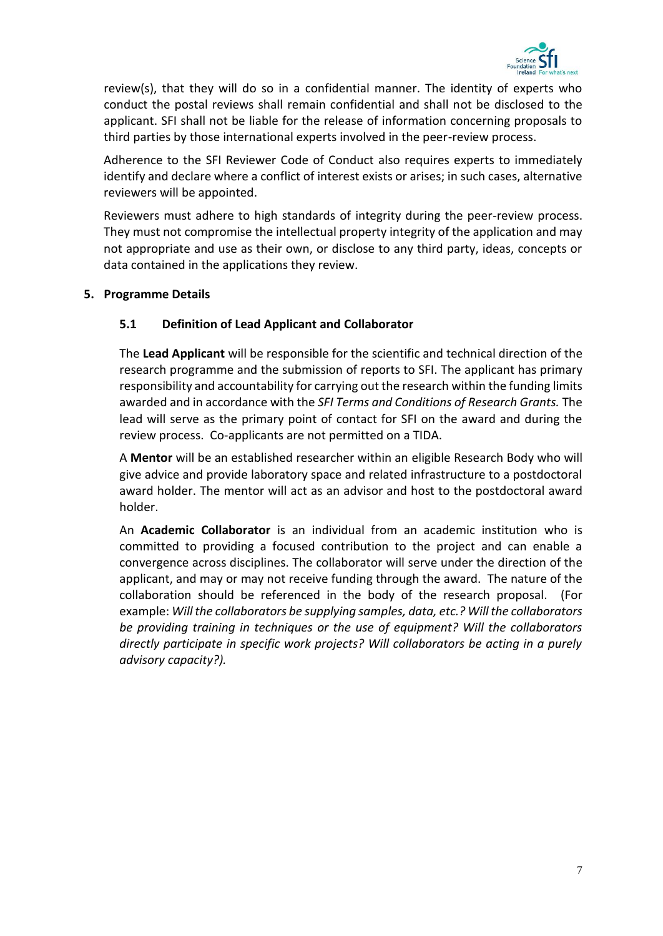

review(s), that they will do so in a confidential manner. The identity of experts who conduct the postal reviews shall remain confidential and shall not be disclosed to the applicant. SFI shall not be liable for the release of information concerning proposals to third parties by those international experts involved in the peer-review process.

Adherence to the SFI Reviewer Code of Conduct also requires experts to immediately identify and declare where a conflict of interest exists or arises; in such cases, alternative reviewers will be appointed.

Reviewers must adhere to high standards of integrity during the peer-review process. They must not compromise the intellectual property integrity of the application and may not appropriate and use as their own, or disclose to any third party, ideas, concepts or data contained in the applications they review.

# <span id="page-8-1"></span><span id="page-8-0"></span>**5. Programme Details**

# **5.1 Definition of Lead Applicant and Collaborator**

The **Lead Applicant** will be responsible for the scientific and technical direction of the research programme and the submission of reports to SFI. The applicant has primary responsibility and accountability for carrying out the research within the funding limits awarded and in accordance with the *SFI Terms and Conditions of Research Grants.* The lead will serve as the primary point of contact for SFI on the award and during the review process.Co-applicants are not permitted on a TIDA.

A **Mentor** will be an established researcher within an eligible Research Body who will give advice and provide laboratory space and related infrastructure to a postdoctoral award holder. The mentor will act as an advisor and host to the postdoctoral award holder.

An **Academic Collaborator** is an individual from an academic institution who is committed to providing a focused contribution to the project and can enable a convergence across disciplines. The collaborator will serve under the direction of the applicant, and may or may not receive funding through the award. The nature of the collaboration should be referenced in the body of the research proposal. (For example: *Will the collaborators be supplying samples, data, etc.? Will the collaborators be providing training in techniques or the use of equipment? Will the collaborators directly participate in specific work projects? Will collaborators be acting in a purely advisory capacity?).*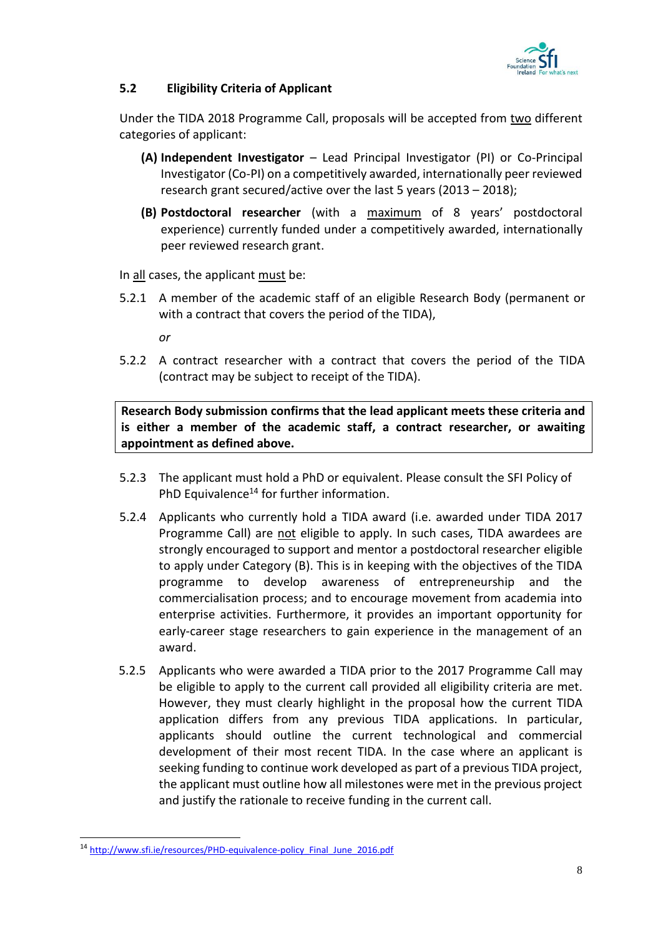

# <span id="page-9-0"></span>**5.2 Eligibility Criteria of Applicant**

Under the TIDA 2018 Programme Call, proposals will be accepted from two different categories of applicant:

- **(A) Independent Investigator** Lead Principal Investigator (PI) or Co-Principal Investigator (Co-PI) on a competitively awarded, internationally peer reviewed research grant secured/active over the last 5 years (2013 – 2018);
- **(B) Postdoctoral researcher** (with a maximum of 8 years' postdoctoral experience) currently funded under a competitively awarded, internationally peer reviewed research grant.

In all cases, the applicant must be:

5.2.1 A member of the academic staff of an eligible Research Body (permanent or with a contract that covers the period of the TIDA),

*or*

5.2.2 A contract researcher with a contract that covers the period of the TIDA (contract may be subject to receipt of the TIDA).

**Research Body submission confirms that the lead applicant meets these criteria and is either a member of the academic staff, a contract researcher, or awaiting appointment as defined above.**

- 5.2.3 The applicant must hold a PhD or equivalent. Please consult the SFI Policy of PhD Equivalence<sup>14</sup> for further information.
- 5.2.4 Applicants who currently hold a TIDA award (i.e. awarded under TIDA 2017 Programme Call) are not eligible to apply. In such cases, TIDA awardees are strongly encouraged to support and mentor a postdoctoral researcher eligible to apply under Category (B). This is in keeping with the objectives of the TIDA programme to develop awareness of entrepreneurship and the commercialisation process; and to encourage movement from academia into enterprise activities. Furthermore, it provides an important opportunity for early-career stage researchers to gain experience in the management of an award.
- 5.2.5 Applicants who were awarded a TIDA prior to the 2017 Programme Call may be eligible to apply to the current call provided all eligibility criteria are met. However, they must clearly highlight in the proposal how the current TIDA application differs from any previous TIDA applications. In particular, applicants should outline the current technological and commercial development of their most recent TIDA. In the case where an applicant is seeking funding to continue work developed as part of a previous TIDA project, the applicant must outline how all milestones were met in the previous project and justify the rationale to receive funding in the current call.

-

<sup>14</sup> [http://www.sfi.ie/resources/PHD-equivalence-policy\\_Final\\_June\\_2016.pdf](http://www.sfi.ie/resources/PHD-equivalence-policy_Final_June_2016.pdf)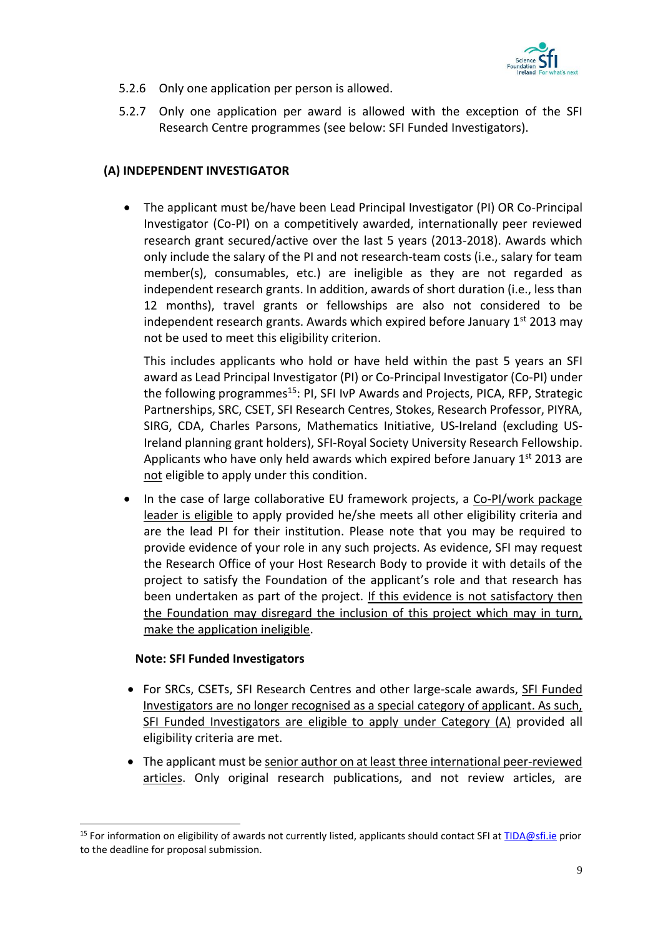

- 5.2.6 Only one application per person is allowed.
- 5.2.7 Only one application per award is allowed with the exception of the SFI Research Centre programmes (see below: SFI Funded Investigators).

# **(A) INDEPENDENT INVESTIGATOR**

• The applicant must be/have been Lead Principal Investigator (PI) OR Co-Principal Investigator (Co-PI) on a competitively awarded, internationally peer reviewed research grant secured/active over the last 5 years (2013-2018). Awards which only include the salary of the PI and not research-team costs (i.e., salary for team member(s), consumables, etc.) are ineligible as they are not regarded as independent research grants. In addition, awards of short duration (i.e., less than 12 months), travel grants or fellowships are also not considered to be independent research grants. Awards which expired before January  $1<sup>st</sup>$  2013 may not be used to meet this eligibility criterion.

This includes applicants who hold or have held within the past 5 years an SFI award as Lead Principal Investigator (PI) or Co-Principal Investigator (Co-PI) under the following programmes<sup>15</sup>: PI, SFI IvP Awards and Projects, PICA, RFP, Strategic Partnerships, SRC, CSET, SFI Research Centres, Stokes, Research Professor, PIYRA, SIRG, CDA, Charles Parsons, Mathematics Initiative, US-Ireland (excluding US-Ireland planning grant holders), SFI-Royal Society University Research Fellowship. Applicants who have only held awards which expired before January  $1<sup>st</sup>$  2013 are not eligible to apply under this condition.

• In the case of large collaborative EU framework projects, a Co-PI/work package leader is eligible to apply provided he/she meets all other eligibility criteria and are the lead PI for their institution. Please note that you may be required to provide evidence of your role in any such projects. As evidence, SFI may request the Research Office of your Host Research Body to provide it with details of the project to satisfy the Foundation of the applicant's role and that research has been undertaken as part of the project. If this evidence is not satisfactory then the Foundation may disregard the inclusion of this project which may in turn, make the application ineligible.

#### **Note: SFI Funded Investigators**

1

- For SRCs, CSETs, SFI Research Centres and other large-scale awards, SFI Funded Investigators are no longer recognised as a special category of applicant. As such, SFI Funded Investigators are eligible to apply under Category (A) provided all eligibility criteria are met.
- The applicant must be senior author on at least three international peer-reviewed articles. Only original research publications, and not review articles, are

<sup>&</sup>lt;sup>15</sup> For information on eligibility of awards not currently listed, applicants should contact SFI at [TIDA@sfi.ie](mailto:TIDA@sfi.ie) prior to the deadline for proposal submission.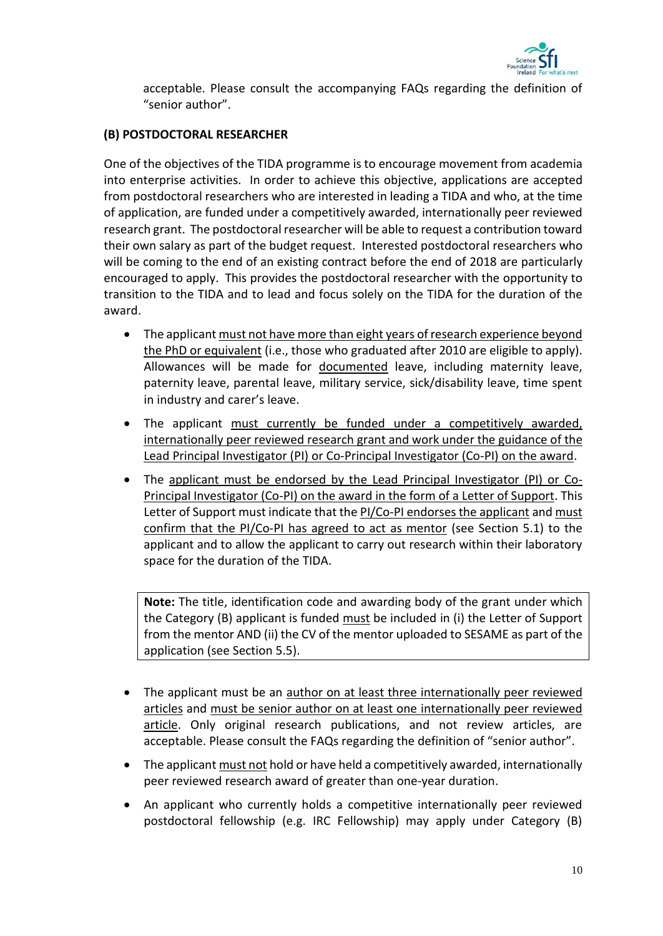

acceptable. Please consult the accompanying FAQs regarding the definition of "senior author".

# **(B) POSTDOCTORAL RESEARCHER**

One of the objectives of the TIDA programme is to encourage movement from academia into enterprise activities. In order to achieve this objective, applications are accepted from postdoctoral researchers who are interested in leading a TIDA and who, at the time of application, are funded under a competitively awarded, internationally peer reviewed research grant. The postdoctoral researcher will be able to request a contribution toward their own salary as part of the budget request. Interested postdoctoral researchers who will be coming to the end of an existing contract before the end of 2018 are particularly encouraged to apply. This provides the postdoctoral researcher with the opportunity to transition to the TIDA and to lead and focus solely on the TIDA for the duration of the award.

- The applicant must not have more than eight years of research experience beyond the PhD or equivalent (i.e., those who graduated after 2010 are eligible to apply). Allowances will be made for documented leave, including maternity leave, paternity leave, parental leave, military service, sick/disability leave, time spent in industry and carer's leave.
- The applicant must currently be funded under a competitively awarded, internationally peer reviewed research grant and work under the guidance of the Lead Principal Investigator (PI) or Co-Principal Investigator (Co-PI) on the award.
- The applicant must be endorsed by the Lead Principal Investigator (PI) or Co-Principal Investigator (Co-PI) on the award in the form of a Letter of Support. This Letter of Support must indicate that the PI/Co-PI endorses the applicant and must confirm that the PI/Co-PI has agreed to act as mentor (see Section 5.1) to the applicant and to allow the applicant to carry out research within their laboratory space for the duration of the TIDA.

**Note:** The title, identification code and awarding body of the grant under which the Category (B) applicant is funded must be included in (i) the Letter of Support from the mentor AND (ii) the CV of the mentor uploaded to SESAME as part of the application (see Section 5.5).

- The applicant must be an author on at least three internationally peer reviewed articles and must be senior author on at least one internationally peer reviewed article. Only original research publications, and not review articles, are acceptable. Please consult the FAQs regarding the definition of "senior author".
- The applicant must not hold or have held a competitively awarded, internationally peer reviewed research award of greater than one-year duration.
- An applicant who currently holds a competitive internationally peer reviewed postdoctoral fellowship (e.g. IRC Fellowship) may apply under Category (B)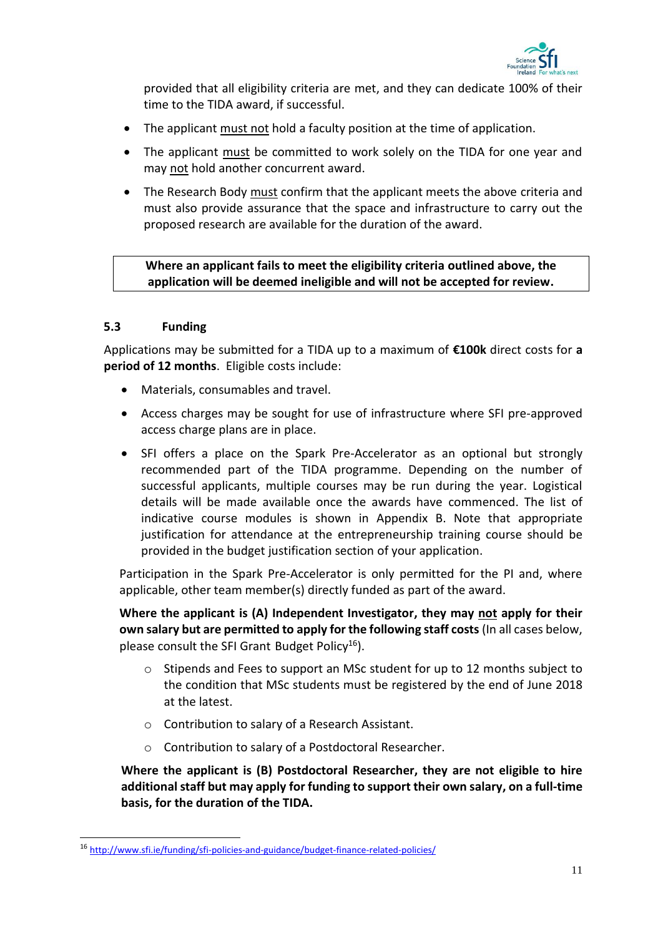

provided that all eligibility criteria are met, and they can dedicate 100% of their time to the TIDA award, if successful.

- The applicant must not hold a faculty position at the time of application.
- The applicant must be committed to work solely on the TIDA for one year and may not hold another concurrent award.
- The Research Body must confirm that the applicant meets the above criteria and must also provide assurance that the space and infrastructure to carry out the proposed research are available for the duration of the award.

**Where an applicant fails to meet the eligibility criteria outlined above, the application will be deemed ineligible and will not be accepted for review.**

# <span id="page-12-0"></span>**5.3 Funding**

-

Applications may be submitted for a TIDA up to a maximum of **€100k** direct costs for **a period of 12 months**. Eligible costs include:

- Materials, consumables and travel.
- Access charges may be sought for use of infrastructure where SFI pre-approved access charge plans are in place.
- SFI offers a place on the Spark Pre-Accelerator as an optional but strongly recommended part of the TIDA programme. Depending on the number of successful applicants, multiple courses may be run during the year. Logistical details will be made available once the awards have commenced. The list of indicative course modules is shown in Appendix B. Note that appropriate justification for attendance at the entrepreneurship training course should be provided in the budget justification section of your application.

Participation in the Spark Pre-Accelerator is only permitted for the PI and, where applicable, other team member(s) directly funded as part of the award.

**Where the applicant is (A) Independent Investigator, they may not apply for their own salary but are permitted to apply for the following staff costs** (In all cases below, please consult the SFI Grant Budget Policy<sup>16</sup>).

- o Stipends and Fees to support an MSc student for up to 12 months subject to the condition that MSc students must be registered by the end of June 2018 at the latest.
- o Contribution to salary of a Research Assistant.
- o Contribution to salary of a Postdoctoral Researcher.

**Where the applicant is (B) Postdoctoral Researcher, they are not eligible to hire additional staff but may apply for funding to support their own salary, on a full-time basis, for the duration of the TIDA.** 

<sup>16</sup> <http://www.sfi.ie/funding/sfi-policies-and-guidance/budget-finance-related-policies/>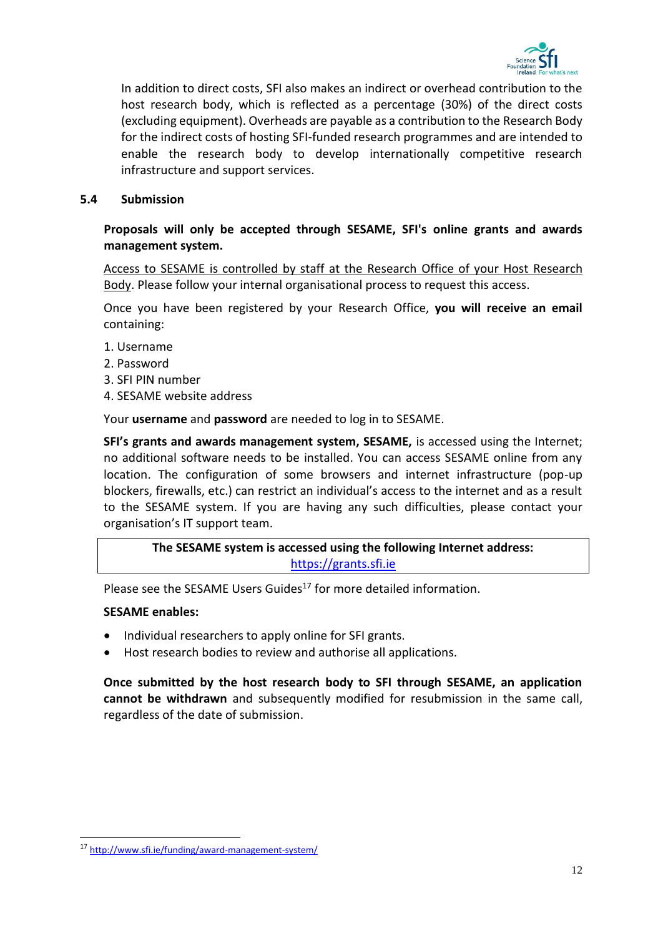

In addition to direct costs, SFI also makes an indirect or overhead contribution to the host research body, which is reflected as a percentage (30%) of the direct costs (excluding equipment). Overheads are payable as a contribution to the Research Body for the indirect costs of hosting SFI-funded research programmes and are intended to enable the research body to develop internationally competitive research infrastructure and support services.

#### <span id="page-13-0"></span>**5.4 Submission**

# **Proposals will only be accepted through SESAME, SFI's online grants and awards management system.**

Access to SESAME is controlled by staff at the Research Office of your Host Research Body. Please follow your internal organisational process to request this access.

Once you have been registered by your Research Office, **you will receive an email** containing:

- 1. Username
- 2. Password
- 3. SFI PIN number
- 4. SESAME website address

Your **username** and **password** are needed to log in to SESAME.

**SFI's grants and awards management system, SESAME,** is accessed using the Internet; no additional software needs to be installed. You can access SESAME online from any location. The configuration of some browsers and internet infrastructure (pop-up blockers, firewalls, etc.) can restrict an individual's access to the internet and as a result to the SESAME system. If you are having any such difficulties, please contact your organisation's IT support team.

**The SESAME system is accessed using the following Internet address:** [https://grants.sfi.ie](https://grants.sfi.ie/)

Please see the SESAME Users Guides<sup>17</sup> for more detailed information.

#### **SESAME enables:**

-

- Individual researchers to apply online for SFI grants.
- Host research bodies to review and authorise all applications.

**Once submitted by the host research body to SFI through SESAME, an application cannot be withdrawn** and subsequently modified for resubmission in the same call, regardless of the date of submission.

<sup>17</sup> <http://www.sfi.ie/funding/award-management-system/>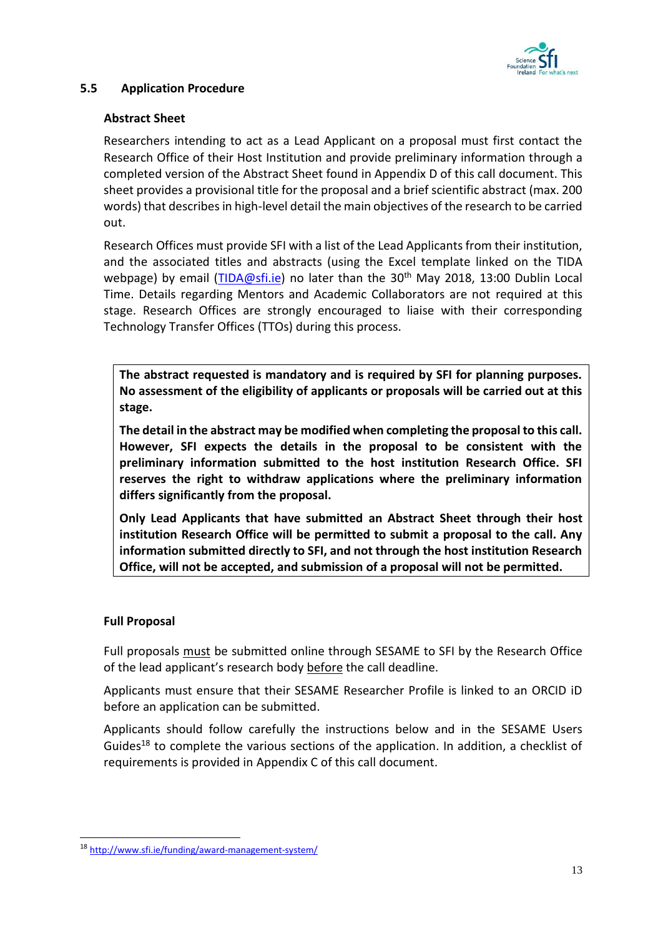

# <span id="page-14-0"></span>**5.5 Application Procedure**

# **Abstract Sheet**

Researchers intending to act as a Lead Applicant on a proposal must first contact the Research Office of their Host Institution and provide preliminary information through a completed version of the Abstract Sheet found in Appendix D of this call document. This sheet provides a provisional title for the proposal and a brief scientific abstract (max. 200 words) that describes in high-level detail the main objectives of the research to be carried out.

Research Offices must provide SFI with a list of the Lead Applicants from their institution, and the associated titles and abstracts (using the Excel template linked on the TIDA webpage) by email [\(TIDA@sfi.ie\)](file://///SFI-FILESERVER/Shared/SFI/PE&IA/Programme%20Documents/TIDA/TIDA%202018/Launch%20Pack/Call%20Document/TIDA@sfi.ie) no later than the 30<sup>th</sup> May 2018, 13:00 Dublin Local Time. Details regarding Mentors and Academic Collaborators are not required at this stage. Research Offices are strongly encouraged to liaise with their corresponding Technology Transfer Offices (TTOs) during this process.

**The abstract requested is mandatory and is required by SFI for planning purposes. No assessment of the eligibility of applicants or proposals will be carried out at this stage.**

**The detail in the abstract may be modified when completing the proposal to this call. However, SFI expects the details in the proposal to be consistent with the preliminary information submitted to the host institution Research Office. SFI reserves the right to withdraw applications where the preliminary information differs significantly from the proposal.**

**Only Lead Applicants that have submitted an Abstract Sheet through their host institution Research Office will be permitted to submit a proposal to the call. Any information submitted directly to SFI, and not through the host institution Research Office, will not be accepted, and submission of a proposal will not be permitted.**

#### **Full Proposal**

-

Full proposals must be submitted online through SESAME to SFI by the Research Office of the lead applicant's research body before the call deadline.

Applicants must ensure that their SESAME Researcher Profile is linked to an ORCID iD before an application can be submitted.

Applicants should follow carefully the instructions below and in the SESAME Users Guides<sup>18</sup> to complete the various sections of the application. In addition, a checklist of requirements is provided in Appendix C of this call document.

<sup>18</sup> <http://www.sfi.ie/funding/award-management-system/>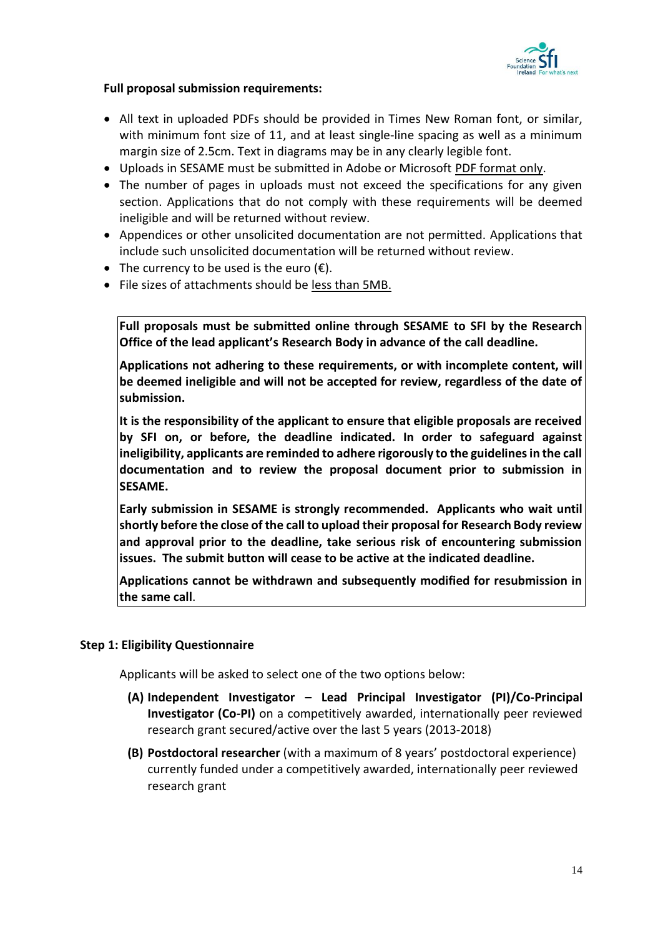

# **Full proposal submission requirements:**

- All text in uploaded PDFs should be provided in Times New Roman font, or similar, with minimum font size of 11, and at least single-line spacing as well as a minimum margin size of 2.5cm. Text in diagrams may be in any clearly legible font.
- Uploads in SESAME must be submitted in Adobe or Microsoft PDF format only.
- The number of pages in uploads must not exceed the specifications for any given section. Applications that do not comply with these requirements will be deemed ineligible and will be returned without review.
- Appendices or other unsolicited documentation are not permitted. Applications that include such unsolicited documentation will be returned without review.
- The currency to be used is the euro  $(\epsilon)$ .
- File sizes of attachments should be less than 5MB.

**Full proposals must be submitted online through SESAME to SFI by the Research Office of the lead applicant's Research Body in advance of the call deadline.**

**Applications not adhering to these requirements, or with incomplete content, will be deemed ineligible and will not be accepted for review, regardless of the date of submission.**

**It is the responsibility of the applicant to ensure that eligible proposals are received by SFI on, or before, the deadline indicated. In order to safeguard against ineligibility, applicants are reminded to adhere rigorously to the guidelines in the call documentation and to review the proposal document prior to submission in SESAME.** 

**Early submission in SESAME is strongly recommended. Applicants who wait until shortly before the close of the call to upload their proposal for Research Body review and approval prior to the deadline, take serious risk of encountering submission issues. The submit button will cease to be active at the indicated deadline.**

**Applications cannot be withdrawn and subsequently modified for resubmission in the same call**.

# <span id="page-15-0"></span>**Step 1: Eligibility Questionnaire**

Applicants will be asked to select one of the two options below:

- **(A) Independent Investigator – Lead Principal Investigator (PI)/Co-Principal Investigator (Co-PI)** on a competitively awarded, internationally peer reviewed research grant secured/active over the last 5 years (2013-2018)
- **(B) Postdoctoral researcher** (with a maximum of 8 years' postdoctoral experience) currently funded under a competitively awarded, internationally peer reviewed research grant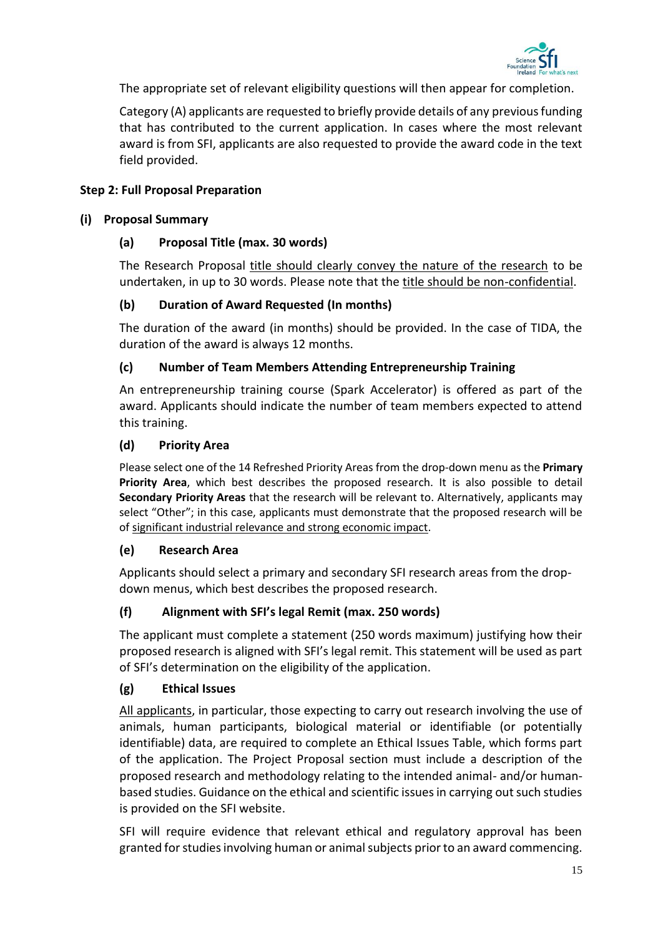

The appropriate set of relevant eligibility questions will then appear for completion.

Category (A) applicants are requested to briefly provide details of any previous funding that has contributed to the current application. In cases where the most relevant award is from SFI, applicants are also requested to provide the award code in the text field provided.

#### <span id="page-16-0"></span>**Step 2: Full Proposal Preparation**

#### **(i) Proposal Summary**

# **(a) Proposal Title (max. 30 words)**

The Research Proposal title should clearly convey the nature of the research to be undertaken, in up to 30 words. Please note that the title should be non-confidential.

# **(b) Duration of Award Requested (In months)**

The duration of the award (in months) should be provided. In the case of TIDA, the duration of the award is always 12 months.

# **(c) Number of Team Members Attending Entrepreneurship Training**

An entrepreneurship training course (Spark Accelerator) is offered as part of the award. Applicants should indicate the number of team members expected to attend this training.

#### **(d) Priority Area**

Please select one of the 14 Refreshed Priority Areas from the drop-down menu as the **Primary Priority Area**, which best describes the proposed research. It is also possible to detail **Secondary Priority Areas** that the research will be relevant to. Alternatively, applicants may select "Other"; in this case, applicants must demonstrate that the proposed research will be of significant industrial relevance and strong economic impact.

#### **(e) Research Area**

Applicants should select a primary and secondary SFI research areas from the dropdown menus, which best describes the proposed research.

# **(f) Alignment with SFI's legal Remit (max. 250 words)**

The applicant must complete a statement (250 words maximum) justifying how their proposed research is aligned with SFI's legal remit. This statement will be used as part of SFI's determination on the eligibility of the application.

#### **(g) Ethical Issues**

All applicants, in particular, those expecting to carry out research involving the use of animals, human participants, biological material or identifiable (or potentially identifiable) data, are required to complete an Ethical Issues Table, which forms part of the application. The Project Proposal section must include a description of the proposed research and methodology relating to the intended animal- and/or humanbased studies. Guidance on the ethical and scientific issues in carrying out such studies is provided on the SFI website.

SFI will require evidence that relevant ethical and regulatory approval has been granted for studies involving human or animal subjects prior to an award commencing.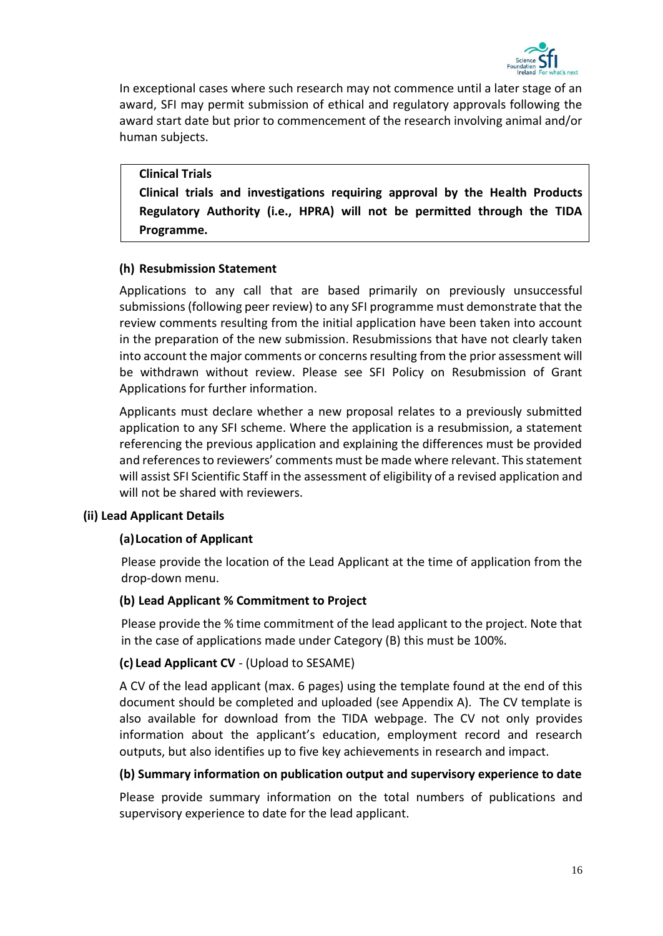

In exceptional cases where such research may not commence until a later stage of an award, SFI may permit submission of ethical and regulatory approvals following the award start date but prior to commencement of the research involving animal and/or human subjects.

#### **Clinical Trials**

**Clinical trials and investigations requiring approval by the Health Products Regulatory Authority (i.e., HPRA) will not be permitted through the TIDA Programme.**

#### **(h) Resubmission Statement**

Applications to any call that are based primarily on previously unsuccessful submissions (following peer review) to any SFI programme must demonstrate that the review comments resulting from the initial application have been taken into account in the preparation of the new submission. Resubmissions that have not clearly taken into account the major comments or concerns resulting from the prior assessment will be withdrawn without review. Please see SFI Policy on Resubmission of Grant Applications for further information.

Applicants must declare whether a new proposal relates to a previously submitted application to any SFI scheme. Where the application is a resubmission, a statement referencing the previous application and explaining the differences must be provided and references to reviewers' comments must be made where relevant. This statement will assist SFI Scientific Staff in the assessment of eligibility of a revised application and will not be shared with reviewers.

#### **(ii) Lead Applicant Details**

#### **(a)Location of Applicant**

Please provide the location of the Lead Applicant at the time of application from the drop-down menu.

#### **(b) Lead Applicant % Commitment to Project**

Please provide the % time commitment of the lead applicant to the project. Note that in the case of applications made under Category (B) this must be 100%.

#### **(c) Lead Applicant CV** - (Upload to SESAME)

A CV of the lead applicant (max. 6 pages) using the template found at the end of this document should be completed and uploaded (see Appendix A)*.* The CV template is also available for download from the TIDA webpage. The CV not only provides information about the applicant's education, employment record and research outputs, but also identifies up to five key achievements in research and impact.

# **(b) Summary information on publication output and supervisory experience to date**

Please provide summary information on the total numbers of publications and supervisory experience to date for the lead applicant.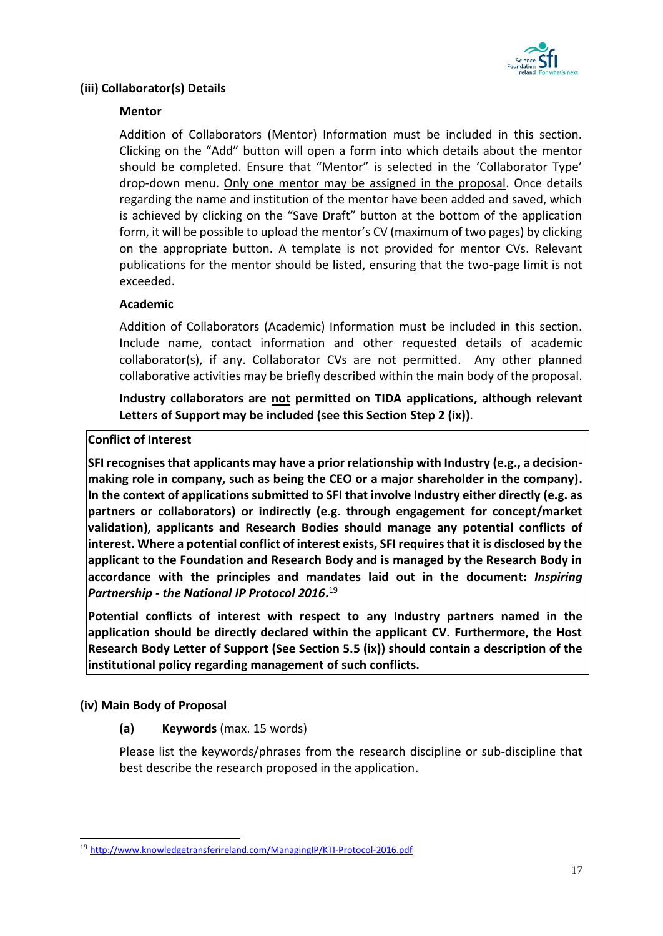

# **(iii) Collaborator(s) Details**

# **Mentor**

Addition of Collaborators (Mentor) Information must be included in this section. Clicking on the "Add" button will open a form into which details about the mentor should be completed. Ensure that "Mentor" is selected in the 'Collaborator Type' drop-down menu. Only one mentor may be assigned in the proposal. Once details regarding the name and institution of the mentor have been added and saved, which is achieved by clicking on the "Save Draft" button at the bottom of the application form, it will be possible to upload the mentor's CV (maximum of two pages) by clicking on the appropriate button. A template is not provided for mentor CVs. Relevant publications for the mentor should be listed, ensuring that the two-page limit is not exceeded.

# **Academic**

Addition of Collaborators (Academic) Information must be included in this section. Include name, contact information and other requested details of academic collaborator(s), if any. Collaborator CVs are not permitted. Any other planned collaborative activities may be briefly described within the main body of the proposal.

**Industry collaborators are not permitted on TIDA applications, although relevant Letters of Support may be included (see this Section Step 2 (ix))**.

# **Conflict of Interest**

**SFI recognises that applicants may have a prior relationship with Industry (e.g., a decisionmaking role in company, such as being the CEO or a major shareholder in the company). In the context of applications submitted to SFI that involve Industry either directly (e.g. as partners or collaborators) or indirectly (e.g. through engagement for concept/market validation), applicants and Research Bodies should manage any potential conflicts of interest. Where a potential conflict of interest exists, SFI requires that it is disclosed by the applicant to the Foundation and Research Body and is managed by the Research Body in accordance with the principles and mandates laid out in the document:** *Inspiring Partnership - the National IP Protocol 2016***.** 19

**Potential conflicts of interest with respect to any Industry partners named in the application should be directly declared within the applicant CV. Furthermore, the Host Research Body Letter of Support (See Section 5.5 (ix)) should contain a description of the institutional policy regarding management of such conflicts.**

# **(iv) Main Body of Proposal**

-

**(a) Keywords** (max. 15 words)

Please list the keywords/phrases from the research discipline or sub-discipline that best describe the research proposed in the application.

<sup>19</sup> <http://www.knowledgetransferireland.com/ManagingIP/KTI-Protocol-2016.pdf>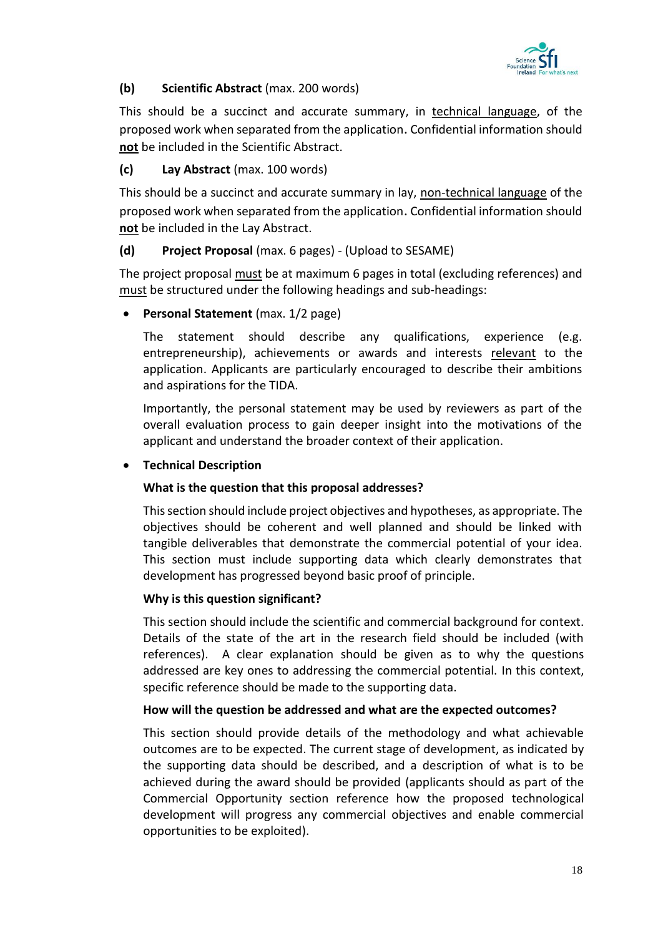

# **(b) Scientific Abstract** (max. 200 words)

This should be a succinct and accurate summary, in technical language, of the proposed work when separated from the application. Confidential information should **not** be included in the Scientific Abstract.

# **(c) Lay Abstract** (max. 100 words)

This should be a succinct and accurate summary in lay, non-technical language of the proposed work when separated from the application. Confidential information should **not** be included in the Lay Abstract.

# **(d) Project Proposal** (max. 6 pages) - (Upload to SESAME)

The project proposal must be at maximum 6 pages in total (excluding references) and must be structured under the following headings and sub-headings:

• **Personal Statement** (max. 1/2 page)

The statement should describe any qualifications, experience (e.g. entrepreneurship), achievements or awards and interests relevant to the application. Applicants are particularly encouraged to describe their ambitions and aspirations for the TIDA.

Importantly, the personal statement may be used by reviewers as part of the overall evaluation process to gain deeper insight into the motivations of the applicant and understand the broader context of their application.

# • **Technical Description**

# **What is the question that this proposal addresses?**

This section should include project objectives and hypotheses, as appropriate. The objectives should be coherent and well planned and should be linked with tangible deliverables that demonstrate the commercial potential of your idea. This section must include supporting data which clearly demonstrates that development has progressed beyond basic proof of principle.

#### **Why is this question significant?**

This section should include the scientific and commercial background for context. Details of the state of the art in the research field should be included (with references). A clear explanation should be given as to why the questions addressed are key ones to addressing the commercial potential. In this context, specific reference should be made to the supporting data.

#### **How will the question be addressed and what are the expected outcomes?**

This section should provide details of the methodology and what achievable outcomes are to be expected. The current stage of development, as indicated by the supporting data should be described, and a description of what is to be achieved during the award should be provided (applicants should as part of the Commercial Opportunity section reference how the proposed technological development will progress any commercial objectives and enable commercial opportunities to be exploited).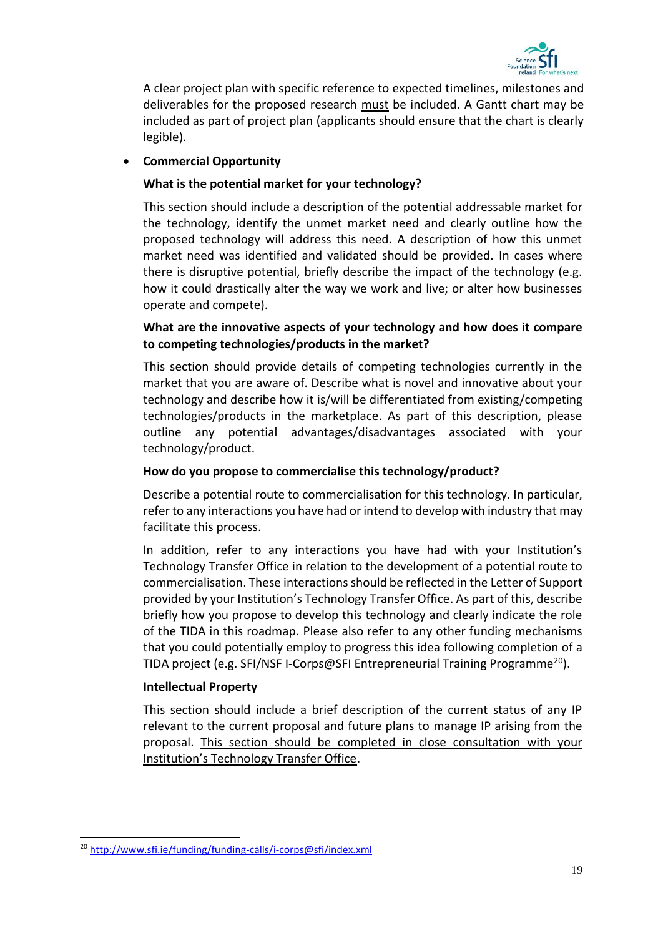

A clear project plan with specific reference to expected timelines, milestones and deliverables for the proposed research must be included. A Gantt chart may be included as part of project plan (applicants should ensure that the chart is clearly legible).

# • **Commercial Opportunity**

# **What is the potential market for your technology?**

This section should include a description of the potential addressable market for the technology, identify the unmet market need and clearly outline how the proposed technology will address this need. A description of how this unmet market need was identified and validated should be provided. In cases where there is disruptive potential, briefly describe the impact of the technology (e.g. how it could drastically alter the way we work and live; or alter how businesses operate and compete).

# **What are the innovative aspects of your technology and how does it compare to competing technologies/products in the market?**

This section should provide details of competing technologies currently in the market that you are aware of. Describe what is novel and innovative about your technology and describe how it is/will be differentiated from existing/competing technologies/products in the marketplace. As part of this description, please outline any potential advantages/disadvantages associated with your technology/product.

#### **How do you propose to commercialise this technology/product?**

Describe a potential route to commercialisation for this technology. In particular, refer to any interactions you have had or intend to develop with industry that may facilitate this process.

In addition, refer to any interactions you have had with your Institution's Technology Transfer Office in relation to the development of a potential route to commercialisation. These interactions should be reflected in the Letter of Support provided by your Institution's Technology Transfer Office. As part of this, describe briefly how you propose to develop this technology and clearly indicate the role of the TIDA in this roadmap. Please also refer to any other funding mechanisms that you could potentially employ to progress this idea following completion of a TIDA project (e.g. SFI/NSF I-Corps@SFI Entrepreneurial Training Programme<sup>20</sup>).

#### **Intellectual Property**

This section should include a brief description of the current status of any IP relevant to the current proposal and future plans to manage IP arising from the proposal. This section should be completed in close consultation with your Institution's Technology Transfer Office.

-

<sup>&</sup>lt;sup>20</sup> <http://www.sfi.ie/funding/funding-calls/i-corps@sfi/index.xml>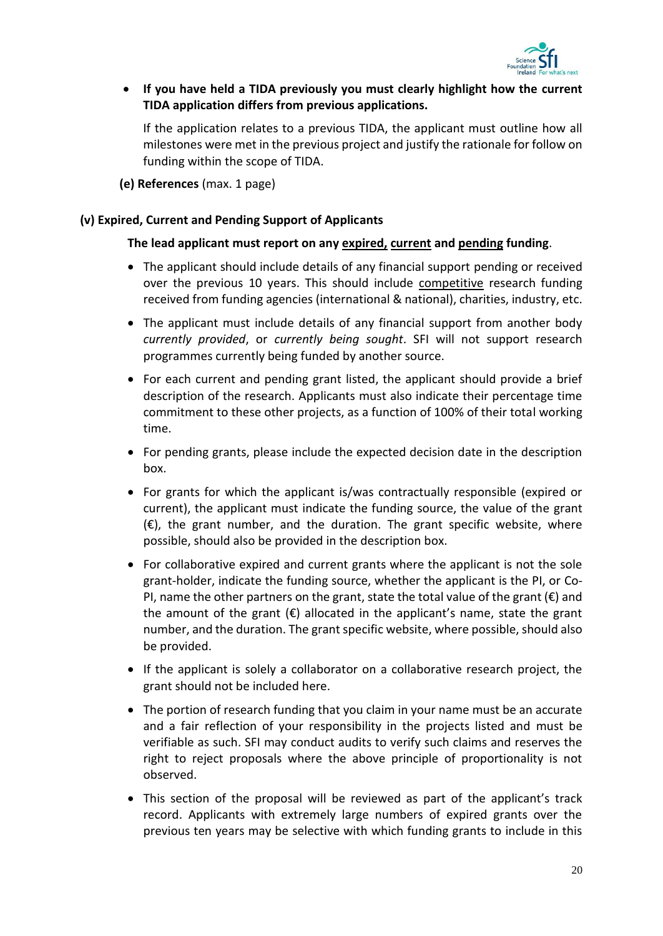

• **If you have held a TIDA previously you must clearly highlight how the current TIDA application differs from previous applications.** 

If the application relates to a previous TIDA, the applicant must outline how all milestones were met in the previous project and justify the rationale for follow on funding within the scope of TIDA.

**(e) References** (max. 1 page)

# **(v) Expired, Current and Pending Support of Applicants**

#### **The lead applicant must report on any expired, current and pending funding**.

- The applicant should include details of any financial support pending or received over the previous 10 years. This should include competitive research funding received from funding agencies (international & national), charities, industry, etc.
- The applicant must include details of any financial support from another body *currently provided*, or *currently being sought*. SFI will not support research programmes currently being funded by another source.
- For each current and pending grant listed, the applicant should provide a brief description of the research. Applicants must also indicate their percentage time commitment to these other projects, as a function of 100% of their total working time.
- For pending grants, please include the expected decision date in the description box.
- For grants for which the applicant is/was contractually responsible (expired or current), the applicant must indicate the funding source, the value of the grant  $(\epsilon)$ , the grant number, and the duration. The grant specific website, where possible, should also be provided in the description box.
- For collaborative expired and current grants where the applicant is not the sole grant-holder, indicate the funding source, whether the applicant is the PI, or Co-PI, name the other partners on the grant, state the total value of the grant  $(\epsilon)$  and the amount of the grant  $(\epsilon)$  allocated in the applicant's name, state the grant number, and the duration. The grant specific website, where possible, should also be provided.
- If the applicant is solely a collaborator on a collaborative research project, the grant should not be included here.
- The portion of research funding that you claim in your name must be an accurate and a fair reflection of your responsibility in the projects listed and must be verifiable as such. SFI may conduct audits to verify such claims and reserves the right to reject proposals where the above principle of proportionality is not observed.
- This section of the proposal will be reviewed as part of the applicant's track record. Applicants with extremely large numbers of expired grants over the previous ten years may be selective with which funding grants to include in this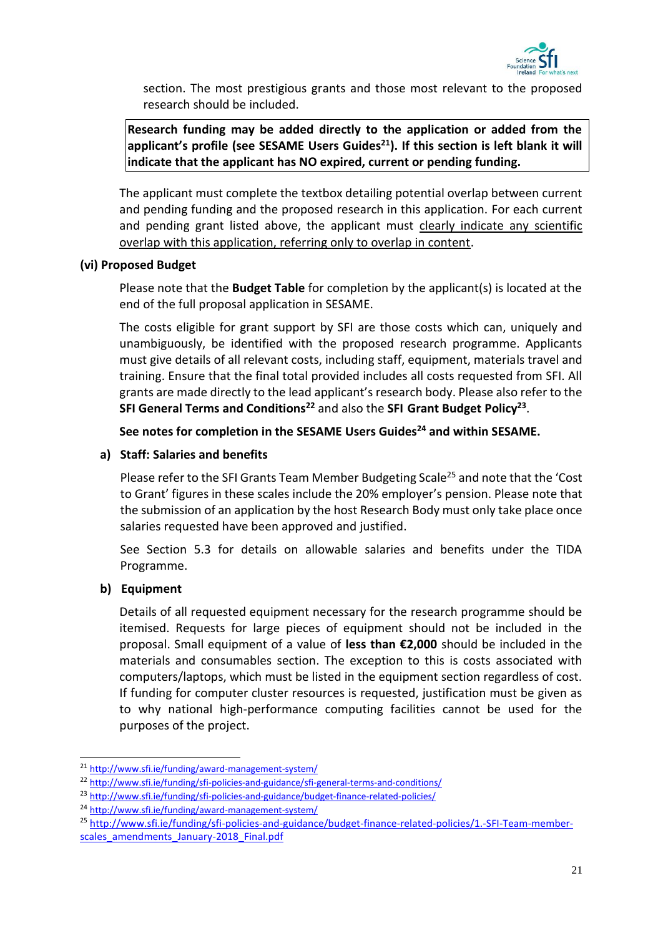

section. The most prestigious grants and those most relevant to the proposed research should be included.

**Research funding may be added directly to the application or added from the applicant's profile (see SESAME Users Guides<sup>21</sup>). If this section is left blank it will indicate that the applicant has NO expired, current or pending funding.**

The applicant must complete the textbox detailing potential overlap between current and pending funding and the proposed research in this application. For each current and pending grant listed above, the applicant must clearly indicate any scientific overlap with this application, referring only to overlap in content.

# **(vi) Proposed Budget**

Please note that the **Budget Table** for completion by the applicant(s) is located at the end of the full proposal application in SESAME.

The costs eligible for grant support by SFI are those costs which can, uniquely and unambiguously, be identified with the proposed research programme. Applicants must give details of all relevant costs, including staff, equipment, materials travel and training. Ensure that the final total provided includes all costs requested from SFI. All grants are made directly to the lead applicant's research body. Please also refer to the **SFI General Terms and Conditions<sup>22</sup>** and also the **SFI Grant Budget Policy<sup>23</sup>** .

**See notes for completion in the SESAME Users Guides<sup>24</sup> and within SESAME.**

# **a) Staff: Salaries and benefits**

Please refer to the SFI Grants Team Member Budgeting Scale<sup>25</sup> and note that the 'Cost to Grant' figures in these scales include the 20% employer's pension. Please note that the submission of an application by the host Research Body must only take place once salaries requested have been approved and justified.

See Section 5.3 for details on allowable salaries and benefits under the TIDA Programme.

# **b) Equipment**

1

Details of all requested equipment necessary for the research programme should be itemised. Requests for large pieces of equipment should not be included in the proposal. Small equipment of a value of **less than €2,000** should be included in the materials and consumables section. The exception to this is costs associated with computers/laptops, which must be listed in the equipment section regardless of cost. If funding for computer cluster resources is requested, justification must be given as to why national high-performance computing facilities cannot be used for the purposes of the project.

<sup>21</sup> <http://www.sfi.ie/funding/award-management-system/>

<sup>&</sup>lt;sup>22</sup> <http://www.sfi.ie/funding/sfi-policies-and-guidance/sfi-general-terms-and-conditions/>

<sup>23</sup> <http://www.sfi.ie/funding/sfi-policies-and-guidance/budget-finance-related-policies/>

<sup>24</sup> <http://www.sfi.ie/funding/award-management-system/>

<sup>25</sup> [http://www.sfi.ie/funding/sfi-policies-and-guidance/budget-finance-related-policies/1.-SFI-Team-member](http://www.sfi.ie/funding/sfi-policies-and-guidance/budget-finance-related-policies/1.-SFI-Team-member-scales_amendments_January-2018_Final.pdf)[scales\\_amendments\\_January-2018\\_Final.pdf](http://www.sfi.ie/funding/sfi-policies-and-guidance/budget-finance-related-policies/1.-SFI-Team-member-scales_amendments_January-2018_Final.pdf)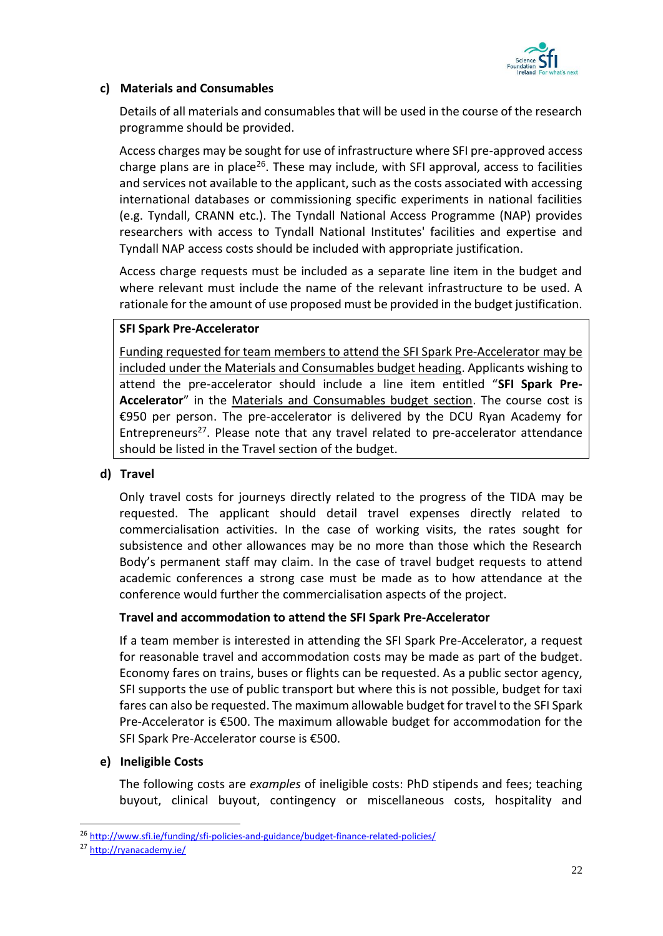

# **c) Materials and Consumables**

Details of all materials and consumables that will be used in the course of the research programme should be provided.

Access charges may be sought for use of infrastructure where SFI pre-approved access charge plans are in place<sup>26</sup>. These may include, with SFI approval, access to facilities and services not available to the applicant, such as the costs associated with accessing international databases or commissioning specific experiments in national facilities (e.g. Tyndall, CRANN etc.). The Tyndall National Access Programme (NAP) provides researchers with access to Tyndall National Institutes' facilities and expertise and Tyndall NAP access costs should be included with appropriate justification.

Access charge requests must be included as a separate line item in the budget and where relevant must include the name of the relevant infrastructure to be used. A rationale for the amount of use proposed must be provided in the budget justification.

#### **SFI Spark Pre-Accelerator**

Funding requested for team members to attend the SFI Spark Pre-Accelerator may be included under the Materials and Consumables budget heading. Applicants wishing to attend the pre-accelerator should include a line item entitled "**SFI Spark Pre-Accelerator**" in the Materials and Consumables budget section. The course cost is €950 per person. The pre-accelerator is delivered by the DCU Ryan Academy for Entrepreneurs<sup>27</sup>. Please note that any travel related to pre-accelerator attendance should be listed in the Travel section of the budget.

#### **d) Travel**

Only travel costs for journeys directly related to the progress of the TIDA may be requested. The applicant should detail travel expenses directly related to commercialisation activities. In the case of working visits, the rates sought for subsistence and other allowances may be no more than those which the Research Body's permanent staff may claim. In the case of travel budget requests to attend academic conferences a strong case must be made as to how attendance at the conference would further the commercialisation aspects of the project.

#### **Travel and accommodation to attend the SFI Spark Pre-Accelerator**

If a team member is interested in attending the SFI Spark Pre-Accelerator, a request for reasonable travel and accommodation costs may be made as part of the budget. Economy fares on trains, buses or flights can be requested. As a public sector agency, SFI supports the use of public transport but where this is not possible, budget for taxi fares can also be requested. The maximum allowable budget for travel to the SFI Spark Pre-Accelerator is €500. The maximum allowable budget for accommodation for the SFI Spark Pre-Accelerator course is €500.

#### **e) Ineligible Costs**

The following costs are *examples* of ineligible costs: PhD stipends and fees; teaching buyout, clinical buyout, contingency or miscellaneous costs, hospitality and

1

<sup>26</sup> <http://www.sfi.ie/funding/sfi-policies-and-guidance/budget-finance-related-policies/>

<sup>27</sup> <http://ryanacademy.ie/>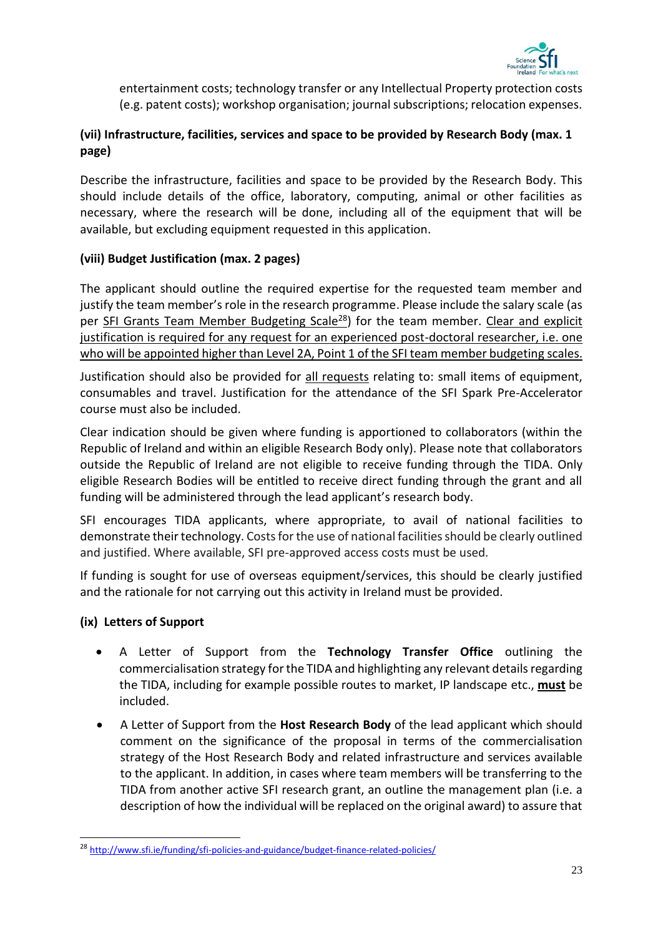

entertainment costs; technology transfer or any Intellectual Property protection costs (e.g. patent costs); workshop organisation; journal subscriptions; relocation expenses.

# **(vii) Infrastructure, facilities, services and space to be provided by Research Body (max. 1 page)**

Describe the infrastructure, facilities and space to be provided by the Research Body. This should include details of the office, laboratory, computing, animal or other facilities as necessary, where the research will be done, including all of the equipment that will be available, but excluding equipment requested in this application.

# **(viii) Budget Justification (max. 2 pages)**

The applicant should outline the required expertise for the requested team member and justify the team member's role in the research programme. Please include the salary scale (as per SFI Grants Team Member Budgeting Scale<sup>28</sup>) for the team member. Clear and explicit justification is required for any request for an experienced post-doctoral researcher, i.e. one who will be appointed higher than Level 2A, Point 1 of the SFI team member budgeting scales.

Justification should also be provided for all requests relating to: small items of equipment, consumables and travel. Justification for the attendance of the SFI Spark Pre-Accelerator course must also be included.

Clear indication should be given where funding is apportioned to collaborators (within the Republic of Ireland and within an eligible Research Body only). Please note that collaborators outside the Republic of Ireland are not eligible to receive funding through the TIDA. Only eligible Research Bodies will be entitled to receive direct funding through the grant and all funding will be administered through the lead applicant's research body.

SFI encourages TIDA applicants, where appropriate, to avail of national facilities to demonstrate their technology. Costs for the use of national facilities should be clearly outlined and justified. Where available, SFI pre-approved access costs must be used.

If funding is sought for use of overseas equipment/services, this should be clearly justified and the rationale for not carrying out this activity in Ireland must be provided.

# **(ix) Letters of Support**

-

- A Letter of Support from the **Technology Transfer Office** outlining the commercialisation strategy for the TIDA and highlighting any relevant details regarding the TIDA, including for example possible routes to market, IP landscape etc., **must** be included.
- A Letter of Support from the **Host Research Body** of the lead applicant which should comment on the significance of the proposal in terms of the commercialisation strategy of the Host Research Body and related infrastructure and services available to the applicant. In addition, in cases where team members will be transferring to the TIDA from another active SFI research grant, an outline the management plan (i.e. a description of how the individual will be replaced on the original award) to assure that

<sup>28</sup> <http://www.sfi.ie/funding/sfi-policies-and-guidance/budget-finance-related-policies/>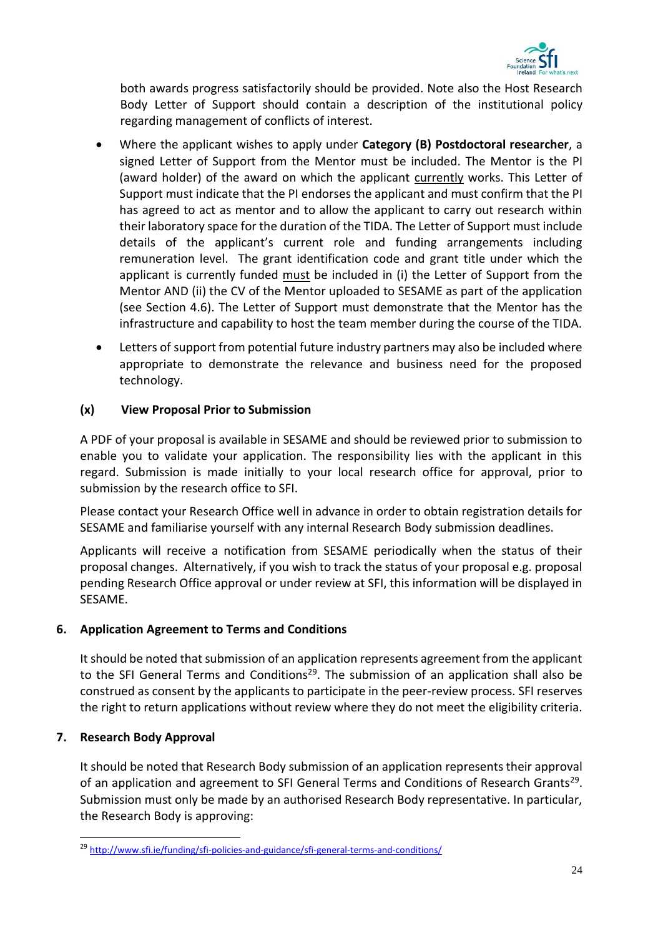

both awards progress satisfactorily should be provided. Note also the Host Research Body Letter of Support should contain a description of the institutional policy regarding management of conflicts of interest.

- Where the applicant wishes to apply under **Category (B) Postdoctoral researcher**, a signed Letter of Support from the Mentor must be included. The Mentor is the PI (award holder) of the award on which the applicant currently works. This Letter of Support must indicate that the PI endorses the applicant and must confirm that the PI has agreed to act as mentor and to allow the applicant to carry out research within their laboratory space for the duration of the TIDA. The Letter of Support must include details of the applicant's current role and funding arrangements including remuneration level. The grant identification code and grant title under which the applicant is currently funded must be included in (i) the Letter of Support from the Mentor AND (ii) the CV of the Mentor uploaded to SESAME as part of the application (see Section 4.6). The Letter of Support must demonstrate that the Mentor has the infrastructure and capability to host the team member during the course of the TIDA.
- Letters of support from potential future industry partners may also be included where appropriate to demonstrate the relevance and business need for the proposed technology.

# **(x) View Proposal Prior to Submission**

A PDF of your proposal is available in SESAME and should be reviewed prior to submission to enable you to validate your application. The responsibility lies with the applicant in this regard. Submission is made initially to your local research office for approval, prior to submission by the research office to SFI.

Please contact your Research Office well in advance in order to obtain registration details for SESAME and familiarise yourself with any internal Research Body submission deadlines.

Applicants will receive a notification from SESAME periodically when the status of their proposal changes. Alternatively, if you wish to track the status of your proposal e.g. proposal pending Research Office approval or under review at SFI, this information will be displayed in SESAME.

# <span id="page-25-0"></span>**6. Application Agreement to Terms and Conditions**

It should be noted that submission of an application represents agreement from the applicant to the SFI General Terms and Conditions<sup>29</sup>. The submission of an application shall also be construed as consent by the applicants to participate in the peer-review process. SFI reserves the right to return applications without review where they do not meet the eligibility criteria.

# <span id="page-25-1"></span>**7. Research Body Approval**

-

It should be noted that Research Body submission of an application represents their approval of an application and agreement to SFI General Terms and Conditions of Research Grants<sup>29</sup>. Submission must only be made by an authorised Research Body representative. In particular, the Research Body is approving:

<sup>29</sup> <http://www.sfi.ie/funding/sfi-policies-and-guidance/sfi-general-terms-and-conditions/>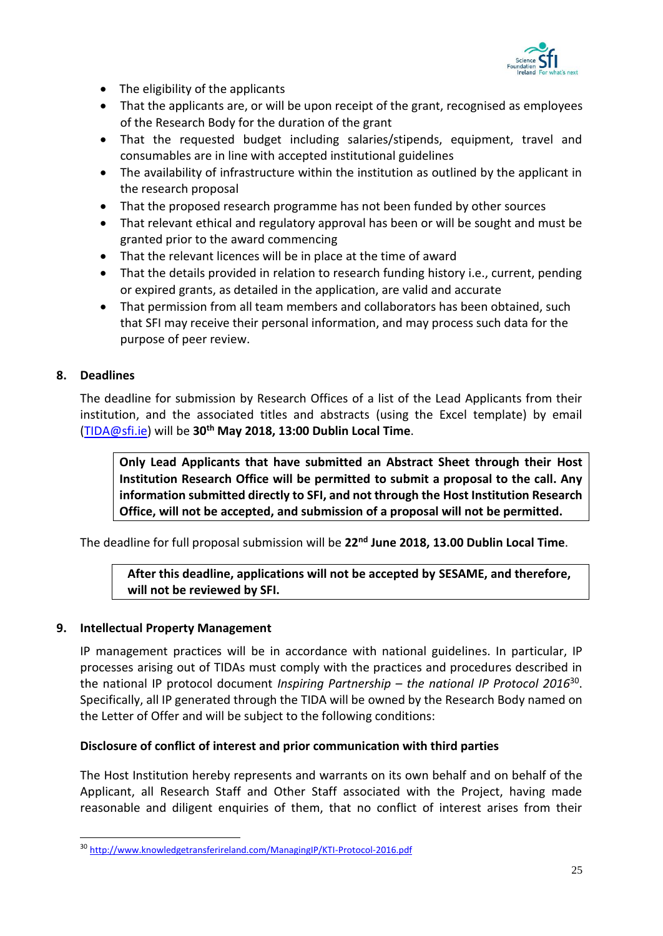

- The eligibility of the applicants
- That the applicants are, or will be upon receipt of the grant, recognised as employees of the Research Body for the duration of the grant
- That the requested budget including salaries/stipends, equipment, travel and consumables are in line with accepted institutional guidelines
- The availability of infrastructure within the institution as outlined by the applicant in the research proposal
- That the proposed research programme has not been funded by other sources
- That relevant ethical and regulatory approval has been or will be sought and must be granted prior to the award commencing
- That the relevant licences will be in place at the time of award
- That the details provided in relation to research funding history i.e., current, pending or expired grants, as detailed in the application, are valid and accurate
- That permission from all team members and collaborators has been obtained, such that SFI may receive their personal information, and may process such data for the purpose of peer review.

# <span id="page-26-0"></span>**8. Deadlines**

-

The deadline for submission by Research Offices of a list of the Lead Applicants from their institution, and the associated titles and abstracts (using the Excel template) by email [\(TIDA@sfi.ie\)](file://///SFI-FILESERVER/Shared/SFI/PE&IA/Programme%20Documents/TIDA/TIDA%202018%20-%20Prep/TIDA@sfi.ie) will be **30 th May 2018, 13:00 Dublin Local Time**.

**Only Lead Applicants that have submitted an Abstract Sheet through their Host Institution Research Office will be permitted to submit a proposal to the call. Any information submitted directly to SFI, and not through the Host Institution Research Office, will not be accepted, and submission of a proposal will not be permitted.**

The deadline for full proposal submission will be **22nd June 2018, 13.00 Dublin Local Time**.

# **After this deadline, applications will not be accepted by SESAME, and therefore, will not be reviewed by SFI.**

#### <span id="page-26-1"></span>**9. Intellectual Property Management**

IP management practices will be in accordance with national guidelines. In particular, IP processes arising out of TIDAs must comply with the practices and procedures described in the national IP protocol document *Inspiring Partnership – the national IP Protocol 2016*<sup>30</sup> . Specifically, all IP generated through the TIDA will be owned by the Research Body named on the Letter of Offer and will be subject to the following conditions:

#### **Disclosure of conflict of interest and prior communication with third parties**

The Host Institution hereby represents and warrants on its own behalf and on behalf of the Applicant, all Research Staff and Other Staff associated with the Project, having made reasonable and diligent enquiries of them, that no conflict of interest arises from their

<sup>30</sup> <http://www.knowledgetransferireland.com/ManagingIP/KTI-Protocol-2016.pdf>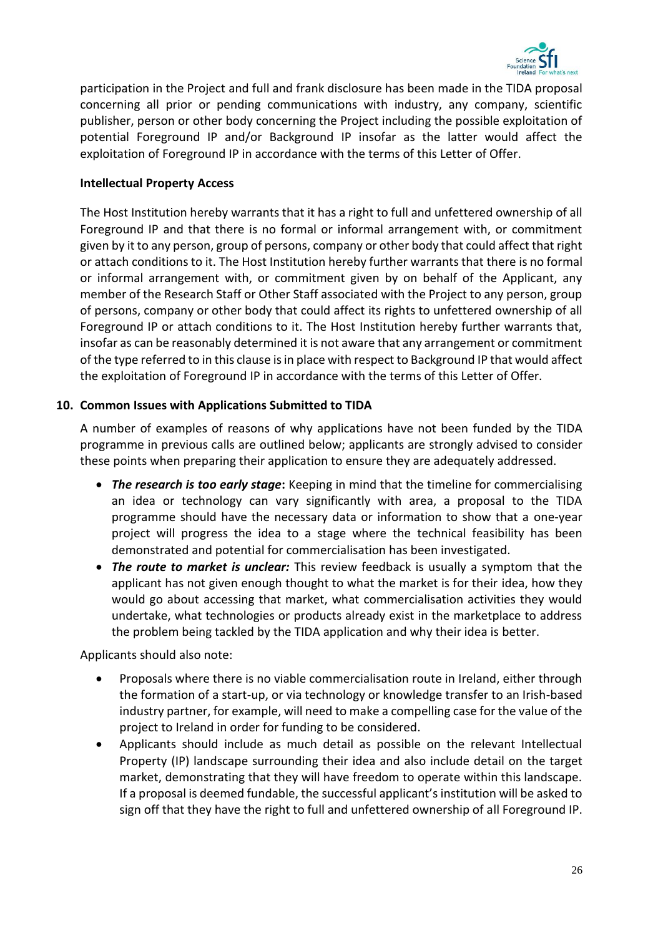

participation in the Project and full and frank disclosure has been made in the TIDA proposal concerning all prior or pending communications with industry, any company, scientific publisher, person or other body concerning the Project including the possible exploitation of potential Foreground IP and/or Background IP insofar as the latter would affect the exploitation of Foreground IP in accordance with the terms of this Letter of Offer.

#### **Intellectual Property Access**

The Host Institution hereby warrants that it has a right to full and unfettered ownership of all Foreground IP and that there is no formal or informal arrangement with, or commitment given by it to any person, group of persons, company or other body that could affect that right or attach conditions to it. The Host Institution hereby further warrants that there is no formal or informal arrangement with, or commitment given by on behalf of the Applicant, any member of the Research Staff or Other Staff associated with the Project to any person, group of persons, company or other body that could affect its rights to unfettered ownership of all Foreground IP or attach conditions to it. The Host Institution hereby further warrants that, insofar as can be reasonably determined it is not aware that any arrangement or commitment of the type referred to in this clause is in place with respect to Background IP that would affect the exploitation of Foreground IP in accordance with the terms of this Letter of Offer.

# <span id="page-27-0"></span>**10. Common Issues with Applications Submitted to TIDA**

A number of examples of reasons of why applications have not been funded by the TIDA programme in previous calls are outlined below; applicants are strongly advised to consider these points when preparing their application to ensure they are adequately addressed.

- *The research is too early stage***:** Keeping in mind that the timeline for commercialising an idea or technology can vary significantly with area, a proposal to the TIDA programme should have the necessary data or information to show that a one-year project will progress the idea to a stage where the technical feasibility has been demonstrated and potential for commercialisation has been investigated.
- *The route to market is unclear:* This review feedback is usually a symptom that the applicant has not given enough thought to what the market is for their idea, how they would go about accessing that market, what commercialisation activities they would undertake, what technologies or products already exist in the marketplace to address the problem being tackled by the TIDA application and why their idea is better.

Applicants should also note:

- Proposals where there is no viable commercialisation route in Ireland, either through the formation of a start-up, or via technology or knowledge transfer to an Irish-based industry partner, for example, will need to make a compelling case for the value of the project to Ireland in order for funding to be considered.
- Applicants should include as much detail as possible on the relevant Intellectual Property (IP) landscape surrounding their idea and also include detail on the target market, demonstrating that they will have freedom to operate within this landscape. If a proposal is deemed fundable, the successful applicant's institution will be asked to sign off that they have the right to full and unfettered ownership of all Foreground IP.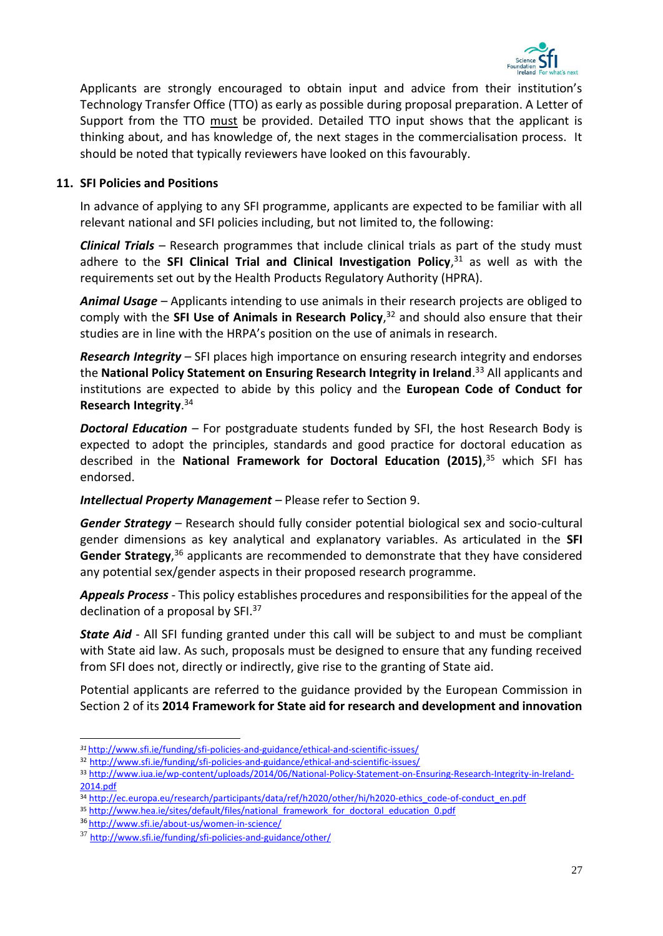

Applicants are strongly encouraged to obtain input and advice from their institution's Technology Transfer Office (TTO) as early as possible during proposal preparation. A Letter of Support from the TTO must be provided. Detailed TTO input shows that the applicant is thinking about, and has knowledge of, the next stages in the commercialisation process. It should be noted that typically reviewers have looked on this favourably.

#### <span id="page-28-0"></span>**11. SFI Policies and Positions**

In advance of applying to any SFI programme, applicants are expected to be familiar with all relevant national and SFI policies including, but not limited to, the following:

*Clinical Trials –* Research programmes that include clinical trials as part of the study must adhere to the **SFI Clinical Trial and Clinical Investigation Policy**, <sup>31</sup> as well as with the requirements set out by the Health Products Regulatory Authority (HPRA).

*Animal Usage –* Applicants intending to use animals in their research projects are obliged to comply with the **SFI Use of Animals in Research Policy**, <sup>32</sup> and should also ensure that their studies are in line with the HRPA's position on the use of animals in research.

*Research Integrity –* SFI places high importance on ensuring research integrity and endorses the **National Policy Statement on Ensuring Research Integrity in Ireland**. <sup>33</sup> All applicants and institutions are expected to abide by this policy and the **European Code of Conduct for Research Integrity**. 34

*Doctoral Education –* For postgraduate students funded by SFI, the host Research Body is expected to adopt the principles, standards and good practice for doctoral education as described in the **National Framework for Doctoral Education (2015)**, <sup>35</sup> which SFI has endorsed.

#### *Intellectual Property Management –* Please refer to Section 9.

*Gender Strategy –* Research should fully consider potential biological sex and socio-cultural gender dimensions as key analytical and explanatory variables. As articulated in the **SFI**  Gender Strategy,<sup>36</sup> applicants are recommended to demonstrate that they have considered any potential sex/gender aspects in their proposed research programme.

*Appeals Process -* This policy establishes procedures and responsibilities for the appeal of the declination of a proposal by SFI.<sup>37</sup>

*State Aid* - All SFI funding granted under this call will be subject to and must be compliant with State aid law. As such, proposals must be designed to ensure that any funding received from SFI does not, directly or indirectly, give rise to the granting of State aid.

Potential applicants are referred to the guidance provided by the European Commission in Section 2 of its **2014 Framework for State aid for research and development and innovation** 

-

*<sup>31</sup>* <http://www.sfi.ie/funding/sfi-policies-and-guidance/ethical-and-scientific-issues/>

<sup>32</sup> <http://www.sfi.ie/funding/sfi-policies-and-guidance/ethical-and-scientific-issues/>

<sup>33</sup> [http://www.iua.ie/wp-content/uploads/2014/06/National-Policy-Statement-on-Ensuring-Research-Integrity-in-Ireland-](http://www.iua.ie/wp-content/uploads/2014/06/National-Policy-Statement-on-Ensuring-Research-Integrity-in-Ireland-2014.pdf)[2014.pdf](http://www.iua.ie/wp-content/uploads/2014/06/National-Policy-Statement-on-Ensuring-Research-Integrity-in-Ireland-2014.pdf)

<sup>34</sup> [http://ec.europa.eu/research/participants/data/ref/h2020/other/hi/h2020-ethics\\_code-of-conduct\\_en.pdf](http://ec.europa.eu/research/participants/data/ref/h2020/other/hi/h2020-ethics_code-of-conduct_en.pdf)

<sup>35</sup> [http://www.hea.ie/sites/default/files/national\\_framework\\_for\\_doctoral\\_education\\_0.pdf](http://www.hea.ie/sites/default/files/national_framework_for_doctoral_education_0.pdf)

<sup>36</sup> <http://www.sfi.ie/about-us/women-in-science/>

<sup>37</sup> <http://www.sfi.ie/funding/sfi-policies-and-guidance/other/>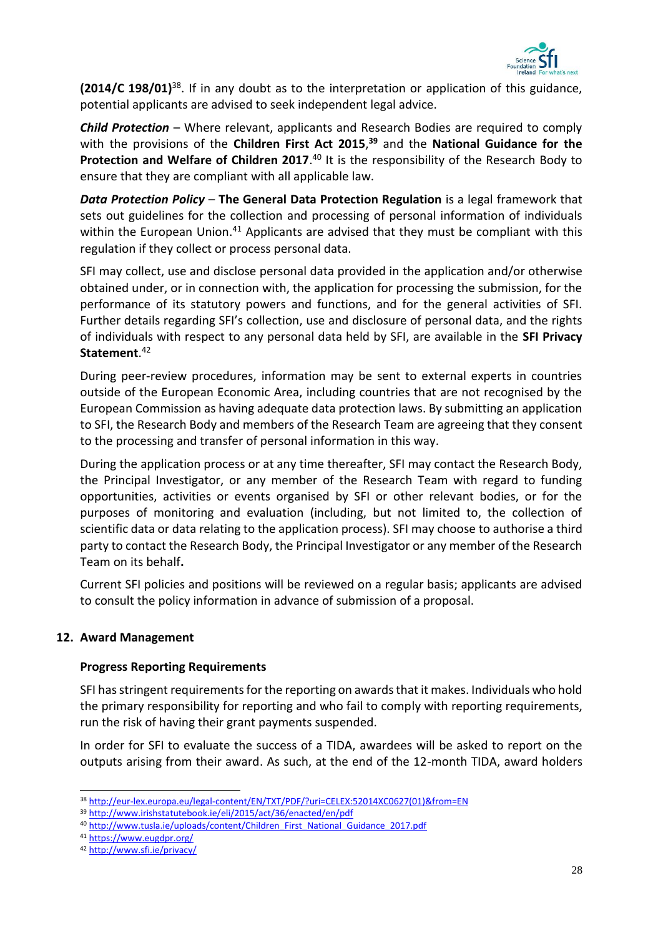

**(2014/C 198/01)**<sup>38</sup>. If in any doubt as to the interpretation or application of this guidance, potential applicants are advised to seek independent legal advice.

*Child Protection* – Where relevant, applicants and Research Bodies are required to comply with the provisions of the **Children First Act 2015**, **<sup>39</sup>** and the **National Guidance for the**  Protection and Welfare of Children 2017.<sup>40</sup> It is the responsibility of the Research Body to ensure that they are compliant with all applicable law.

*Data Protection Policy* – **The General Data Protection Regulation** is a legal framework that sets out guidelines for the collection and processing of personal information of individuals within the European Union.<sup>41</sup> Applicants are advised that they must be compliant with this regulation if they collect or process personal data.

SFI may collect, use and disclose personal data provided in the application and/or otherwise obtained under, or in connection with, the application for processing the submission, for the performance of its statutory powers and functions, and for the general activities of SFI. Further details regarding SFI's collection, use and disclosure of personal data, and the rights of individuals with respect to any personal data held by SFI, are available in the **SFI Privacy Statement**. 42

During peer-review procedures, information may be sent to external experts in countries outside of the European Economic Area, including countries that are not recognised by the European Commission as having adequate data protection laws. By submitting an application to SFI, the Research Body and members of the Research Team are agreeing that they consent to the processing and transfer of personal information in this way.

During the application process or at any time thereafter, SFI may contact the Research Body, the Principal Investigator, or any member of the Research Team with regard to funding opportunities, activities or events organised by SFI or other relevant bodies, or for the purposes of monitoring and evaluation (including, but not limited to, the collection of scientific data or data relating to the application process). SFI may choose to authorise a third party to contact the Research Body, the Principal Investigator or any member of the Research Team on its behalf**.**

Current SFI policies and positions will be reviewed on a regular basis; applicants are advised to consult the policy information in advance of submission of a proposal.

#### <span id="page-29-0"></span>**12. Award Management**

#### **Progress Reporting Requirements**

SFI has stringent requirements for the reporting on awards that it makes. Individuals who hold the primary responsibility for reporting and who fail to comply with reporting requirements, run the risk of having their grant payments suspended.

In order for SFI to evaluate the success of a TIDA, awardees will be asked to report on the outputs arising from their award. As such, at the end of the 12-month TIDA, award holders

<sup>-</sup><sup>38</sup> [http://eur-lex.europa.eu/legal-content/EN/TXT/PDF/?uri=CELEX:52014XC0627\(01\)&from=EN](http://eur-lex.europa.eu/legal-content/EN/TXT/PDF/?uri=CELEX:52014XC0627(01)&from=EN)

<sup>39</sup> <http://www.irishstatutebook.ie/eli/2015/act/36/enacted/en/pdf>

<sup>40</sup> [http://www.tusla.ie/uploads/content/Children\\_First\\_National\\_Guidance\\_2017.pdf](http://www.tusla.ie/uploads/content/Children_First_National_Guidance_2017.pdf)

<sup>41</sup> <https://www.eugdpr.org/>

<sup>42</sup> <http://www.sfi.ie/privacy/>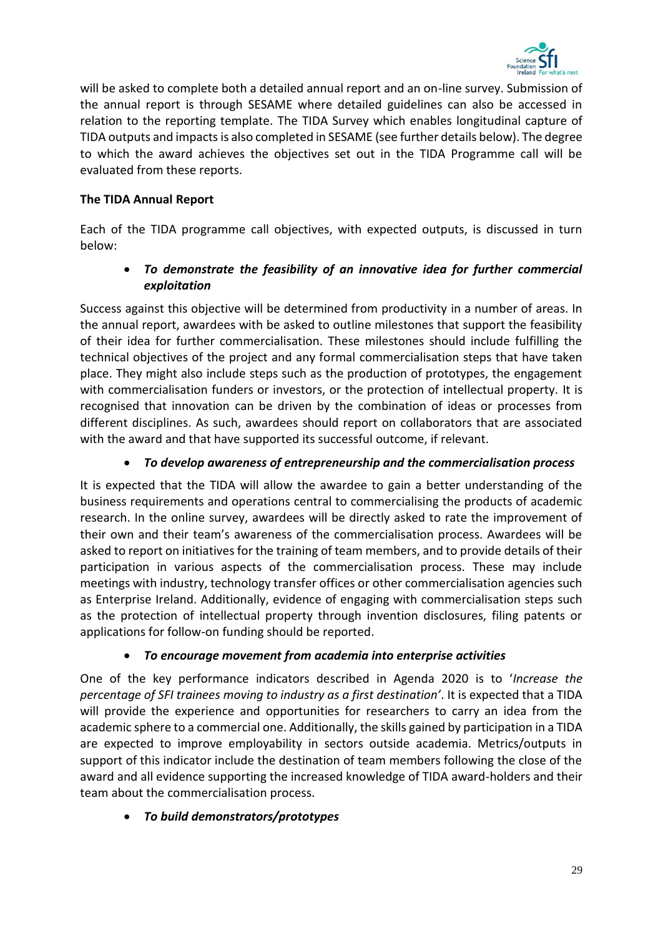

will be asked to complete both a detailed annual report and an on-line survey. Submission of the annual report is through SESAME where detailed guidelines can also be accessed in relation to the reporting template. The TIDA Survey which enables longitudinal capture of TIDA outputs and impacts is also completed in SESAME (see further details below). The degree to which the award achieves the objectives set out in the TIDA Programme call will be evaluated from these reports.

# **The TIDA Annual Report**

Each of the TIDA programme call objectives, with expected outputs, is discussed in turn below:

# • *To demonstrate the feasibility of an innovative idea for further commercial exploitation*

Success against this objective will be determined from productivity in a number of areas. In the annual report, awardees with be asked to outline milestones that support the feasibility of their idea for further commercialisation. These milestones should include fulfilling the technical objectives of the project and any formal commercialisation steps that have taken place. They might also include steps such as the production of prototypes, the engagement with commercialisation funders or investors, or the protection of intellectual property. It is recognised that innovation can be driven by the combination of ideas or processes from different disciplines. As such, awardees should report on collaborators that are associated with the award and that have supported its successful outcome, if relevant.

# • *To develop awareness of entrepreneurship and the commercialisation process*

It is expected that the TIDA will allow the awardee to gain a better understanding of the business requirements and operations central to commercialising the products of academic research. In the online survey, awardees will be directly asked to rate the improvement of their own and their team's awareness of the commercialisation process. Awardees will be asked to report on initiatives for the training of team members, and to provide details of their participation in various aspects of the commercialisation process. These may include meetings with industry, technology transfer offices or other commercialisation agencies such as Enterprise Ireland. Additionally, evidence of engaging with commercialisation steps such as the protection of intellectual property through invention disclosures, filing patents or applications for follow-on funding should be reported.

# • *To encourage movement from academia into enterprise activities*

One of the key performance indicators described in Agenda 2020 is to '*Increase the percentage of SFI trainees moving to industry as a first destination'*. It is expected that a TIDA will provide the experience and opportunities for researchers to carry an idea from the academic sphere to a commercial one. Additionally, the skills gained by participation in a TIDA are expected to improve employability in sectors outside academia. Metrics/outputs in support of this indicator include the destination of team members following the close of the award and all evidence supporting the increased knowledge of TIDA award-holders and their team about the commercialisation process.

# • *To build demonstrators/prototypes*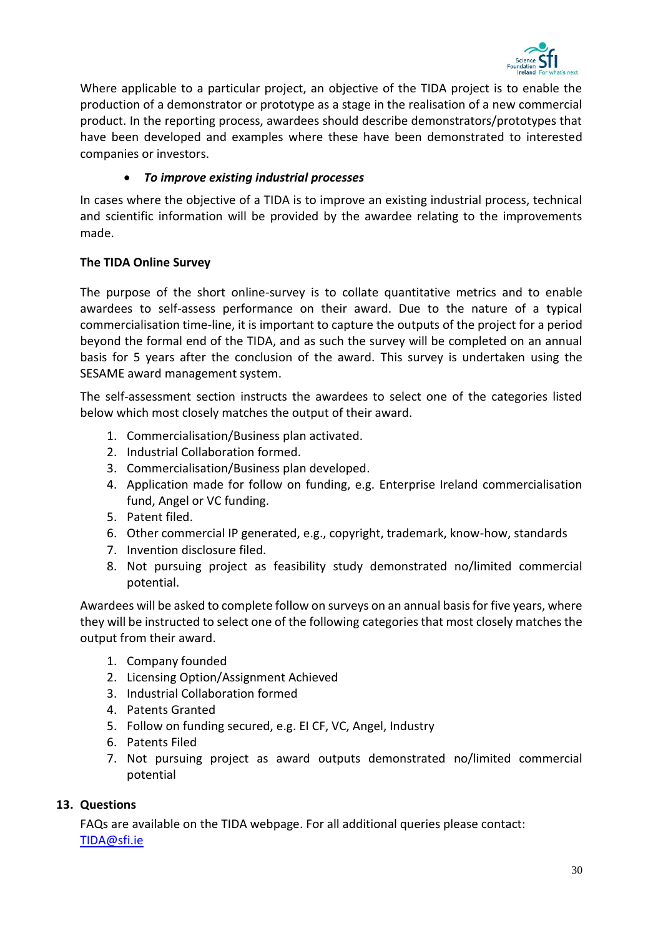

Where applicable to a particular project, an objective of the TIDA project is to enable the production of a demonstrator or prototype as a stage in the realisation of a new commercial product. In the reporting process, awardees should describe demonstrators/prototypes that have been developed and examples where these have been demonstrated to interested companies or investors.

# • *To improve existing industrial processes*

In cases where the objective of a TIDA is to improve an existing industrial process, technical and scientific information will be provided by the awardee relating to the improvements made.

# **The TIDA Online Survey**

The purpose of the short online-survey is to collate quantitative metrics and to enable awardees to self-assess performance on their award. Due to the nature of a typical commercialisation time-line, it is important to capture the outputs of the project for a period beyond the formal end of the TIDA, and as such the survey will be completed on an annual basis for 5 years after the conclusion of the award. This survey is undertaken using the SESAME award management system.

The self-assessment section instructs the awardees to select one of the categories listed below which most closely matches the output of their award.

- 1. Commercialisation/Business plan activated.
- 2. Industrial Collaboration formed.
- 3. Commercialisation/Business plan developed.
- 4. Application made for follow on funding, e.g. Enterprise Ireland commercialisation fund, Angel or VC funding.
- 5. Patent filed.
- 6. Other commercial IP generated, e.g., copyright, trademark, know-how, standards
- 7. Invention disclosure filed.
- 8. Not pursuing project as feasibility study demonstrated no/limited commercial potential.

Awardees will be asked to complete follow on surveys on an annual basis for five years, where they will be instructed to select one of the following categories that most closely matches the output from their award.

- 1. Company founded
- 2. Licensing Option/Assignment Achieved
- 3. Industrial Collaboration formed
- 4. Patents Granted
- 5. Follow on funding secured, e.g. EI CF, VC, Angel, Industry
- 6. Patents Filed
- 7. Not pursuing project as award outputs demonstrated no/limited commercial potential

# <span id="page-31-0"></span>**13. Questions**

FAQs are available on the TIDA webpage. For all additional queries please contact: [TIDA@sfi.ie](mailto:TIDA@sfi.ie)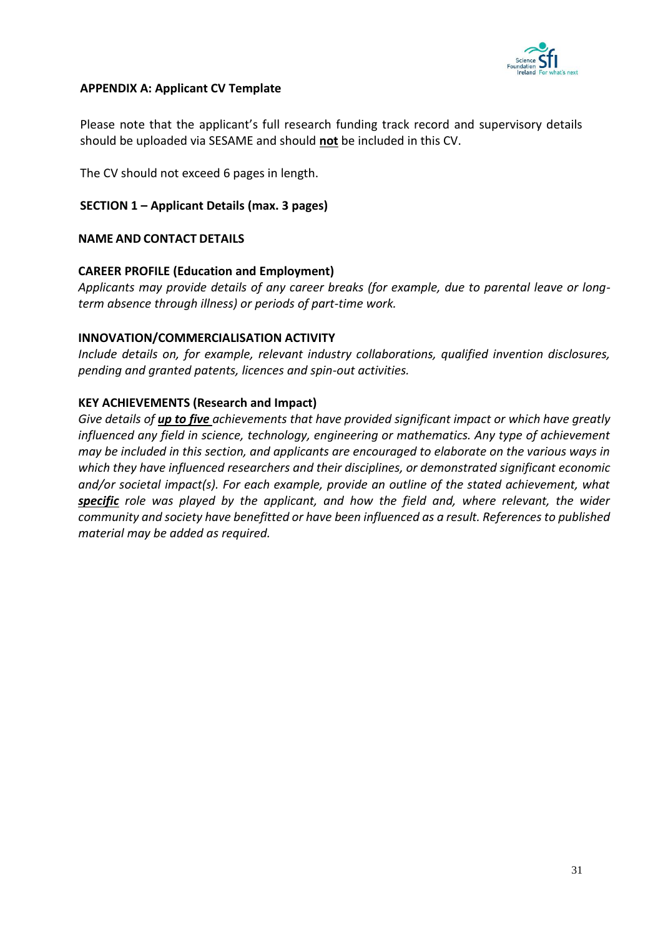

# <span id="page-32-0"></span>**APPENDIX A: Applicant CV Template**

Please note that the applicant's full research funding track record and supervisory details should be uploaded via SESAME and should **not** be included in this CV.

The CV should not exceed 6 pages in length.

# **SECTION 1 – Applicant Details (max. 3 pages)**

#### **NAME AND CONTACT DETAILS**

# **CAREER PROFILE (Education and Employment)**

*Applicants may provide details of any career breaks (for example, due to parental leave or longterm absence through illness) or periods of part-time work.*

#### **INNOVATION/COMMERCIALISATION ACTIVITY**

*Include details on, for example, relevant industry collaborations, qualified invention disclosures, pending and granted patents, licences and spin-out activities.*

# **KEY ACHIEVEMENTS (Research and Impact)**

*Give details of up to five achievements that have provided significant impact or which have greatly influenced any field in science, technology, engineering or mathematics. Any type of achievement may be included in this section, and applicants are encouraged to elaborate on the various ways in which they have influenced researchers and their disciplines, or demonstrated significant economic and/or societal impact(s). For each example, provide an outline of the stated achievement, what specific role was played by the applicant, and how the field and, where relevant, the wider community and society have benefitted or have been influenced as a result. References to published material may be added as required.*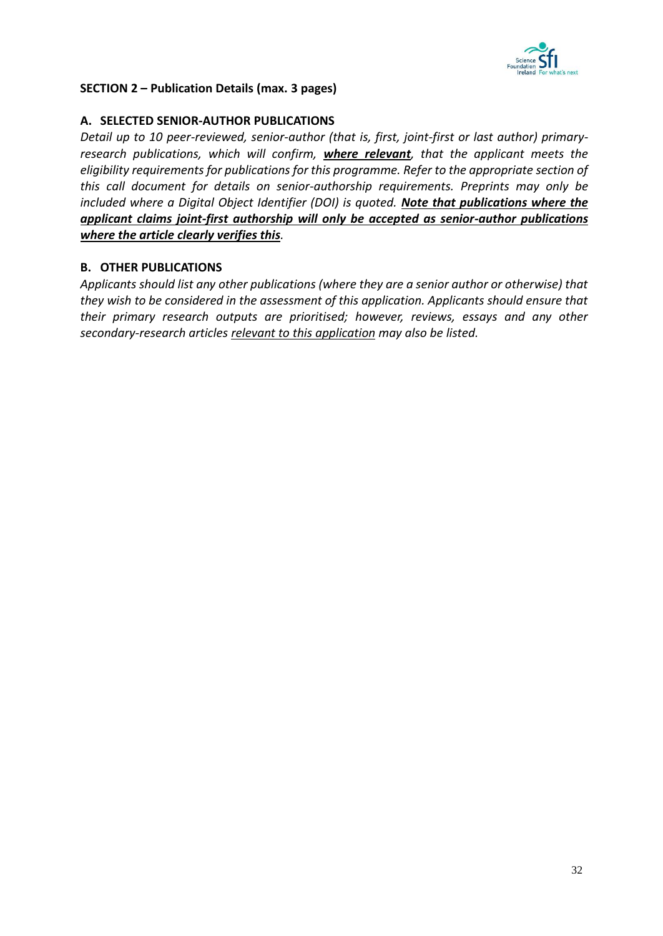

# **SECTION 2 – Publication Details (max. 3 pages)**

# **A. SELECTED SENIOR-AUTHOR PUBLICATIONS**

*Detail up to 10 peer-reviewed, senior-author (that is, first, joint-first or last author) primaryresearch publications, which will confirm, where relevant, that the applicant meets the eligibility requirements for publications for this programme. Refer to the appropriate section of this call document for details on senior-authorship requirements. Preprints may only be included where a Digital Object Identifier (DOI) is quoted. Note that publications where the applicant claims joint-first authorship will only be accepted as senior-author publications where the article clearly verifies this.* 

# **B. OTHER PUBLICATIONS**

*Applicants should list any other publications (where they are a senior author or otherwise) that they wish to be considered in the assessment of this application. Applicants should ensure that their primary research outputs are prioritised; however, reviews, essays and any other secondary-research articles relevant to this application may also be listed.*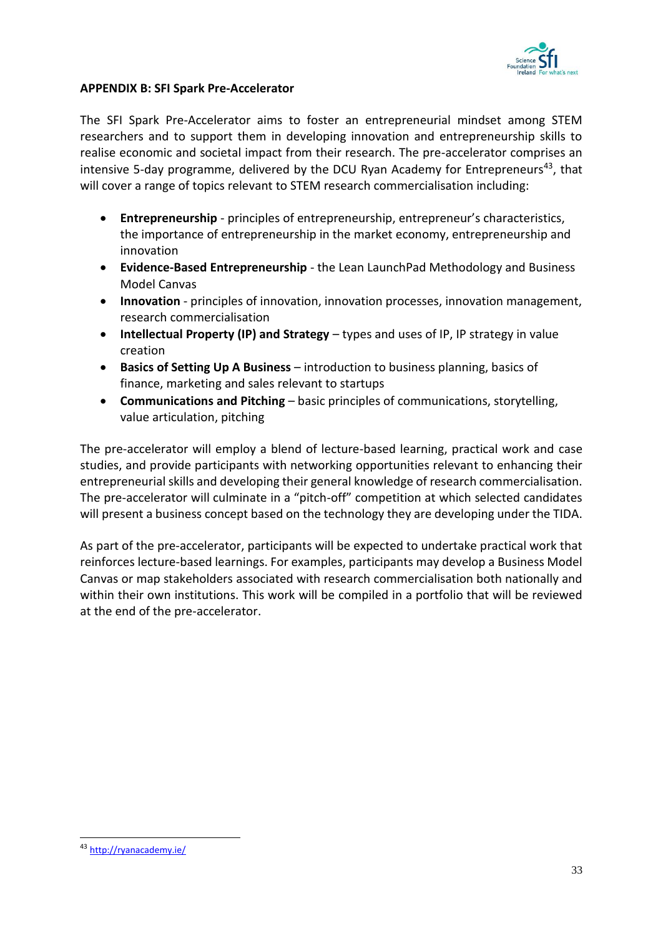

# <span id="page-34-0"></span>**APPENDIX B: SFI Spark Pre-Accelerator**

The SFI Spark Pre-Accelerator aims to foster an entrepreneurial mindset among STEM researchers and to support them in developing innovation and entrepreneurship skills to realise economic and societal impact from their research. The pre-accelerator comprises an intensive 5-day programme, delivered by the DCU Ryan Academy for Entrepreneurs<sup>43</sup>, that will cover a range of topics relevant to STEM research commercialisation including:

- **Entrepreneurship** principles of entrepreneurship, entrepreneur's characteristics, the importance of entrepreneurship in the market economy, entrepreneurship and innovation
- **Evidence-Based Entrepreneurship** the Lean LaunchPad Methodology and Business Model Canvas
- **Innovation** principles of innovation, innovation processes, innovation management, research commercialisation
- **Intellectual Property (IP) and Strategy** types and uses of IP, IP strategy in value creation
- **Basics of Setting Up A Business** introduction to business planning, basics of finance, marketing and sales relevant to startups
- **Communications and Pitching** basic principles of communications, storytelling, value articulation, pitching

The pre-accelerator will employ a blend of lecture-based learning, practical work and case studies, and provide participants with networking opportunities relevant to enhancing their entrepreneurial skills and developing their general knowledge of research commercialisation. The pre-accelerator will culminate in a "pitch-off" competition at which selected candidates will present a business concept based on the technology they are developing under the TIDA.

As part of the pre-accelerator, participants will be expected to undertake practical work that reinforces lecture-based learnings. For examples, participants may develop a Business Model Canvas or map stakeholders associated with research commercialisation both nationally and within their own institutions. This work will be compiled in a portfolio that will be reviewed at the end of the pre-accelerator.

-

<sup>43</sup> <http://ryanacademy.ie/>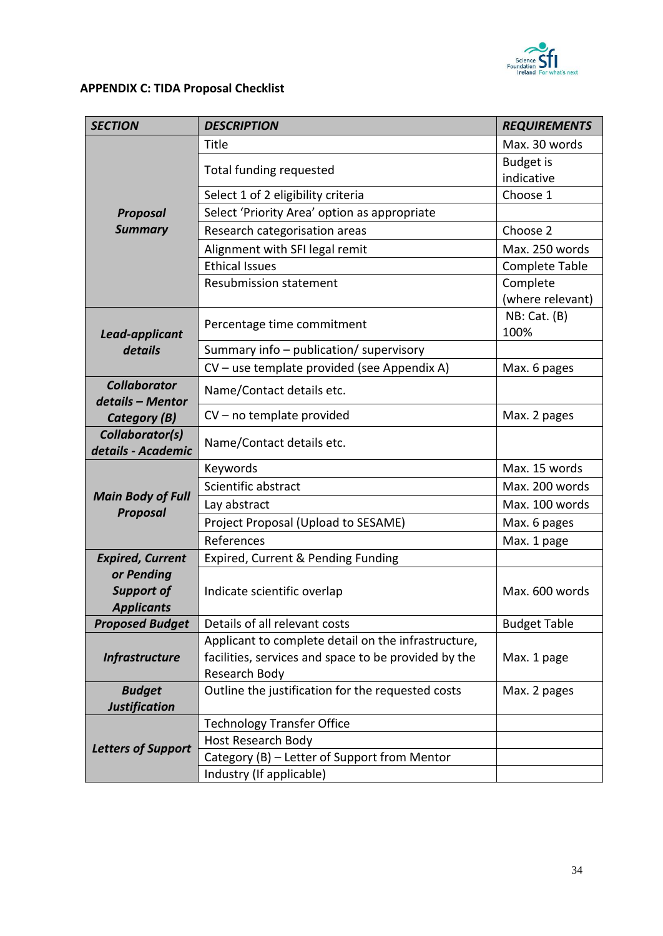

# <span id="page-35-0"></span>**APPENDIX C: TIDA Proposal Checklist**

| <b>SECTION</b>                          | <b>DESCRIPTION</b>                                                 | <b>REQUIREMENTS</b>   |
|-----------------------------------------|--------------------------------------------------------------------|-----------------------|
|                                         | Title                                                              | Max. 30 words         |
|                                         | Total funding requested                                            | <b>Budget is</b>      |
|                                         |                                                                    | indicative            |
|                                         | Select 1 of 2 eligibility criteria                                 | Choose 1              |
| <b>Proposal</b>                         | Select 'Priority Area' option as appropriate                       |                       |
| <b>Summary</b>                          | Research categorisation areas                                      | Choose 2              |
|                                         | Alignment with SFI legal remit                                     | Max. 250 words        |
|                                         | <b>Ethical Issues</b>                                              | <b>Complete Table</b> |
|                                         | <b>Resubmission statement</b>                                      | Complete              |
|                                         |                                                                    | (where relevant)      |
| Lead-applicant                          | Percentage time commitment                                         | NB: Cat. (B)<br>100%  |
| details                                 | Summary info - publication/ supervisory                            |                       |
|                                         | CV - use template provided (see Appendix A)                        | Max. 6 pages          |
| <b>Collaborator</b><br>details - Mentor | Name/Contact details etc.                                          |                       |
| Category (B)                            | $CV$ – no template provided                                        | Max. 2 pages          |
| Collaborator(s)<br>details - Academic   | Name/Contact details etc.                                          |                       |
|                                         | Keywords                                                           | Max. 15 words         |
|                                         | Scientific abstract                                                | Max. 200 words        |
| <b>Main Body of Full</b>                | Lay abstract                                                       | Max. 100 words        |
| <b>Proposal</b>                         | Project Proposal (Upload to SESAME)                                | Max. 6 pages          |
|                                         | References                                                         | Max. 1 page           |
| <b>Expired, Current</b>                 | Expired, Current & Pending Funding                                 |                       |
| or Pending                              |                                                                    |                       |
| <b>Support of</b>                       | Indicate scientific overlap                                        | Max. 600 words        |
| <b>Applicants</b>                       |                                                                    |                       |
| <b>Proposed Budget</b>                  | Details of all relevant costs                                      | <b>Budget Table</b>   |
|                                         | Applicant to complete detail on the infrastructure,                |                       |
| <b>Infrastructure</b>                   | facilities, services and space to be provided by the               | Max. 1 page           |
|                                         | Research Body                                                      |                       |
| <b>Budget</b>                           | Outline the justification for the requested costs                  | Max. 2 pages          |
| <b>Justification</b>                    |                                                                    |                       |
|                                         |                                                                    |                       |
|                                         | <b>Technology Transfer Office</b>                                  |                       |
| <b>Letters of Support</b>               | Host Research Body<br>Category (B) - Letter of Support from Mentor |                       |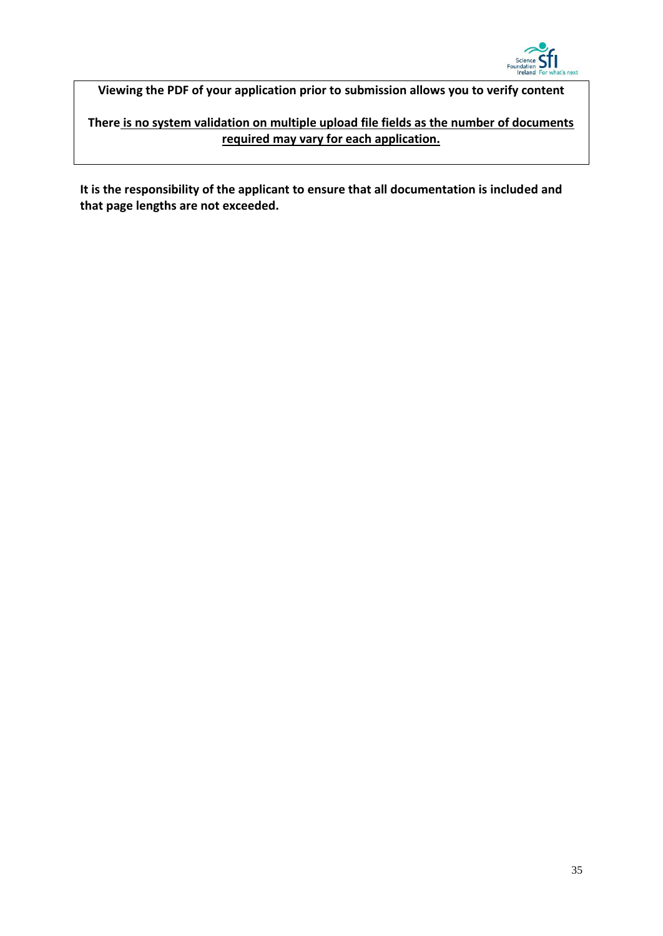

**Viewing the PDF of your application prior to submission allows you to verify content**

**There is no system validation on multiple upload file fields as the number of documents required may vary for each application.**

**It is the responsibility of the applicant to ensure that all documentation is included and that page lengths are not exceeded.**